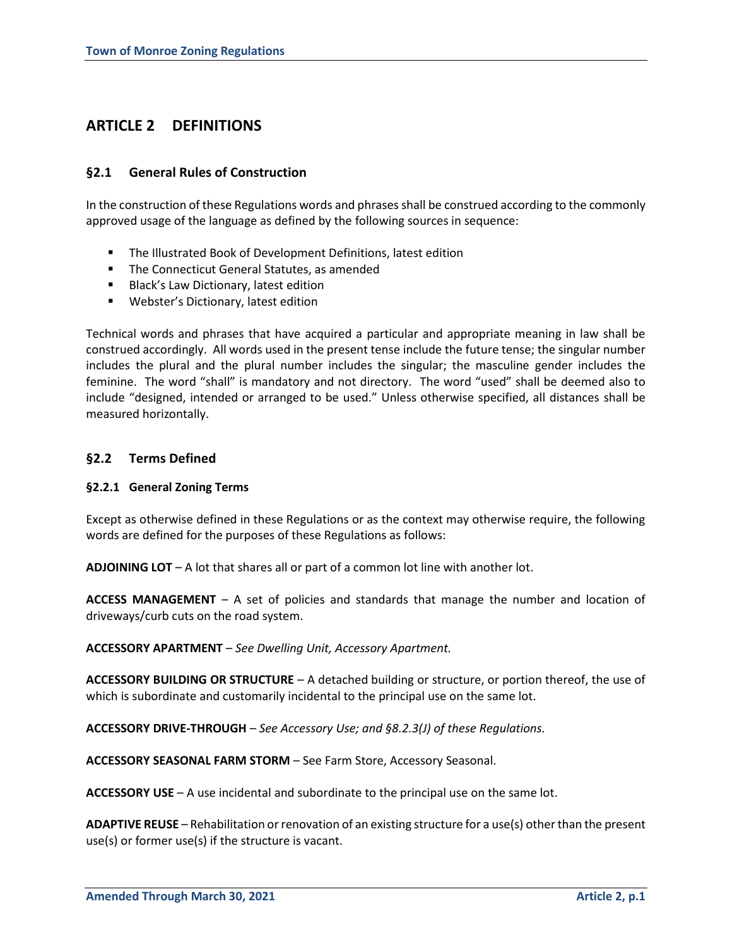# **ARTICLE 2 DEFINITIONS**

# **§2.1 General Rules of Construction**

In the construction of these Regulations words and phrases shall be construed according to the commonly approved usage of the language as defined by the following sources in sequence:

- **The Illustrated Book of Development Definitions, latest edition**
- **The Connecticut General Statutes, as amended**
- **Black's Law Dictionary, latest edition**
- **Webster's Dictionary, latest edition**

Technical words and phrases that have acquired a particular and appropriate meaning in law shall be construed accordingly. All words used in the present tense include the future tense; the singular number includes the plural and the plural number includes the singular; the masculine gender includes the feminine. The word "shall" is mandatory and not directory. The word "used" shall be deemed also to include "designed, intended or arranged to be used." Unless otherwise specified, all distances shall be measured horizontally.

# **§2.2 Terms Defined**

# **§2.2.1 General Zoning Terms**

Except as otherwise defined in these Regulations or as the context may otherwise require, the following words are defined for the purposes of these Regulations as follows:

**ADJOINING LOT** – A lot that shares all or part of a common lot line with another lot.

**ACCESS MANAGEMENT** – A set of policies and standards that manage the number and location of driveways/curb cuts on the road system.

**ACCESSORY APARTMENT** – *See Dwelling Unit, Accessory Apartment.*

**ACCESSORY BUILDING OR STRUCTURE** – A detached building or structure, or portion thereof, the use of which is subordinate and customarily incidental to the principal use on the same lot.

**ACCESSORY DRIVE-THROUGH** – *See Accessory Use; and §8.2.3(J) of these Regulations.*

**ACCESSORY SEASONAL FARM STORM** – See Farm Store, Accessory Seasonal.

**ACCESSORY USE** – A use incidental and subordinate to the principal use on the same lot.

**ADAPTIVE REUSE** – Rehabilitation or renovation of an existing structure for a use(s) other than the present use(s) or former use(s) if the structure is vacant.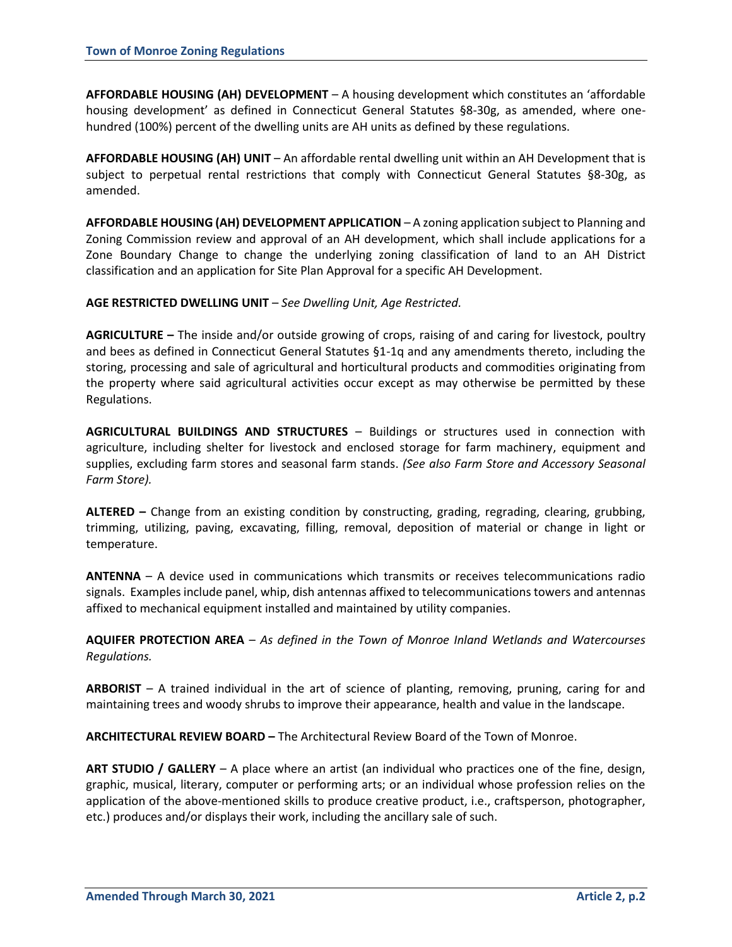**AFFORDABLE HOUSING (AH) DEVELOPMENT** – A housing development which constitutes an 'affordable housing development' as defined in Connecticut General Statutes §8-30g, as amended, where onehundred (100%) percent of the dwelling units are AH units as defined by these regulations.

**AFFORDABLE HOUSING (AH) UNIT** – An affordable rental dwelling unit within an AH Development that is subject to perpetual rental restrictions that comply with Connecticut General Statutes §8-30g, as amended.

**AFFORDABLE HOUSING (AH) DEVELOPMENT APPLICATION** – A zoning application subject to Planning and Zoning Commission review and approval of an AH development, which shall include applications for a Zone Boundary Change to change the underlying zoning classification of land to an AH District classification and an application for Site Plan Approval for a specific AH Development.

## **AGE RESTRICTED DWELLING UNIT** – *See Dwelling Unit, Age Restricted.*

**AGRICULTURE –** The inside and/or outside growing of crops, raising of and caring for livestock, poultry and bees as defined in Connecticut General Statutes §1-1q and any amendments thereto, including the storing, processing and sale of agricultural and horticultural products and commodities originating from the property where said agricultural activities occur except as may otherwise be permitted by these Regulations.

**AGRICULTURAL BUILDINGS AND STRUCTURES** – Buildings or structures used in connection with agriculture, including shelter for livestock and enclosed storage for farm machinery, equipment and supplies, excluding farm stores and seasonal farm stands. *(See also Farm Store and Accessory Seasonal Farm Store).*

**ALTERED –** Change from an existing condition by constructing, grading, regrading, clearing, grubbing, trimming, utilizing, paving, excavating, filling, removal, deposition of material or change in light or temperature.

**ANTENNA** – A device used in communications which transmits or receives telecommunications radio signals. Examples include panel, whip, dish antennas affixed to telecommunications towers and antennas affixed to mechanical equipment installed and maintained by utility companies.

**AQUIFER PROTECTION AREA** – *As defined in the Town of Monroe Inland Wetlands and Watercourses Regulations.*

**ARBORIST** – A trained individual in the art of science of planting, removing, pruning, caring for and maintaining trees and woody shrubs to improve their appearance, health and value in the landscape.

**ARCHITECTURAL REVIEW BOARD –** The Architectural Review Board of the Town of Monroe.

**ART STUDIO / GALLERY** – A place where an artist (an individual who practices one of the fine, design, graphic, musical, literary, computer or performing arts; or an individual whose profession relies on the application of the above-mentioned skills to produce creative product, i.e., craftsperson, photographer, etc.) produces and/or displays their work, including the ancillary sale of such.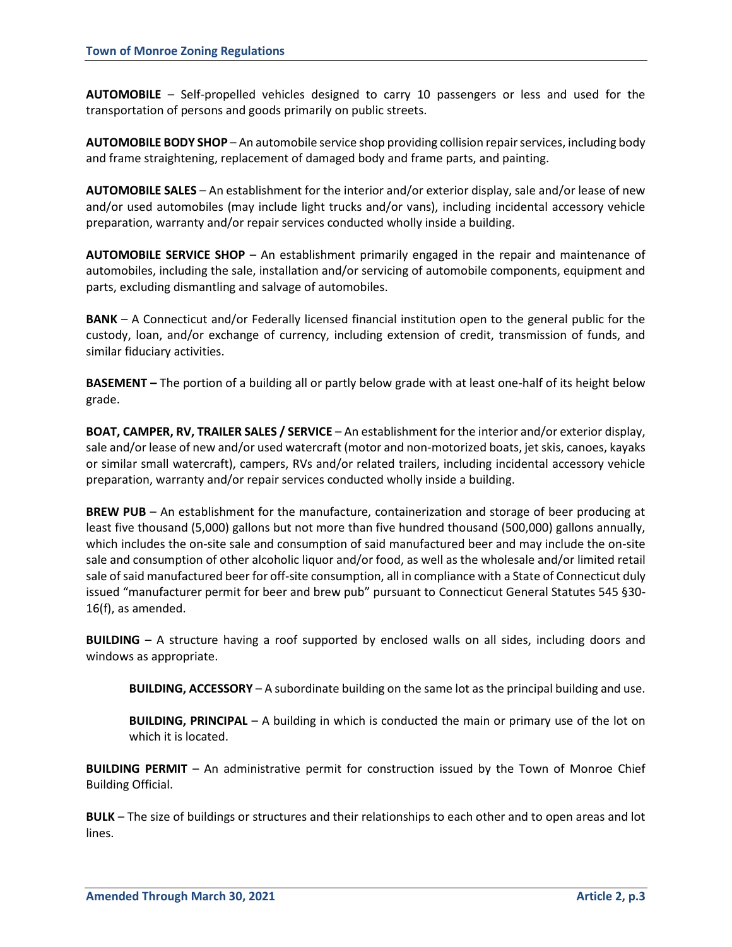**AUTOMOBILE** – Self-propelled vehicles designed to carry 10 passengers or less and used for the transportation of persons and goods primarily on public streets.

**AUTOMOBILE BODY SHOP** – An automobile service shop providing collision repair services, including body and frame straightening, replacement of damaged body and frame parts, and painting.

**AUTOMOBILE SALES** – An establishment for the interior and/or exterior display, sale and/or lease of new and/or used automobiles (may include light trucks and/or vans), including incidental accessory vehicle preparation, warranty and/or repair services conducted wholly inside a building.

**AUTOMOBILE SERVICE SHOP** – An establishment primarily engaged in the repair and maintenance of automobiles, including the sale, installation and/or servicing of automobile components, equipment and parts, excluding dismantling and salvage of automobiles.

**BANK** – A Connecticut and/or Federally licensed financial institution open to the general public for the custody, loan, and/or exchange of currency, including extension of credit, transmission of funds, and similar fiduciary activities.

**BASEMENT –** The portion of a building all or partly below grade with at least one-half of its height below grade.

**BOAT, CAMPER, RV, TRAILER SALES / SERVICE** – An establishment for the interior and/or exterior display, sale and/or lease of new and/or used watercraft (motor and non-motorized boats, jet skis, canoes, kayaks or similar small watercraft), campers, RVs and/or related trailers, including incidental accessory vehicle preparation, warranty and/or repair services conducted wholly inside a building.

**BREW PUB** – An establishment for the manufacture, containerization and storage of beer producing at least five thousand (5,000) gallons but not more than five hundred thousand (500,000) gallons annually, which includes the on-site sale and consumption of said manufactured beer and may include the on-site sale and consumption of other alcoholic liquor and/or food, as well as the wholesale and/or limited retail sale of said manufactured beer for off-site consumption, all in compliance with a State of Connecticut duly issued "manufacturer permit for beer and brew pub" pursuant to Connecticut General Statutes 545 §30- 16(f), as amended.

**BUILDING** – A structure having a roof supported by enclosed walls on all sides, including doors and windows as appropriate.

**BUILDING, ACCESSORY** – A subordinate building on the same lot as the principal building and use.

**BUILDING, PRINCIPAL** – A building in which is conducted the main or primary use of the lot on which it is located.

**BUILDING PERMIT** – An administrative permit for construction issued by the Town of Monroe Chief Building Official.

**BULK** – The size of buildings or structures and their relationships to each other and to open areas and lot lines.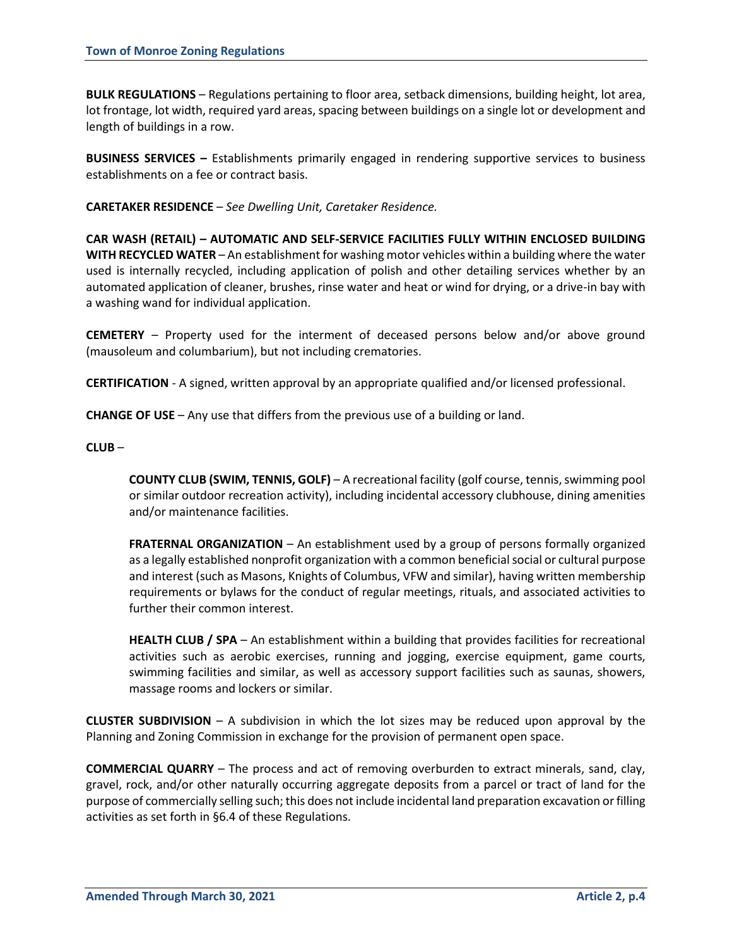**BULK REGULATIONS** – Regulations pertaining to floor area, setback dimensions, building height, lot area, lot frontage, lot width, required yard areas, spacing between buildings on a single lot or development and length of buildings in a row.

**BUSINESS SERVICES –** Establishments primarily engaged in rendering supportive services to business establishments on a fee or contract basis.

**CARETAKER RESIDENCE** – *See Dwelling Unit, Caretaker Residence.*

**CAR WASH (RETAIL) – AUTOMATIC AND SELF-SERVICE FACILITIES FULLY WITHIN ENCLOSED BUILDING WITH RECYCLED WATER** – An establishment for washing motor vehicles within a building where the water used is internally recycled, including application of polish and other detailing services whether by an automated application of cleaner, brushes, rinse water and heat or wind for drying, or a drive-in bay with a washing wand for individual application.

**CEMETERY** – Property used for the interment of deceased persons below and/or above ground (mausoleum and columbarium), but not including crematories.

**CERTIFICATION** - A signed, written approval by an appropriate qualified and/or licensed professional.

**CHANGE OF USE** – Any use that differs from the previous use of a building or land.

#### **CLUB** –

**COUNTY CLUB (SWIM, TENNIS, GOLF)** – A recreational facility (golf course, tennis, swimming pool or similar outdoor recreation activity), including incidental accessory clubhouse, dining amenities and/or maintenance facilities.

**FRATERNAL ORGANIZATION** – An establishment used by a group of persons formally organized as a legally established nonprofit organization with a common beneficial social or cultural purpose and interest (such as Masons, Knights of Columbus, VFW and similar), having written membership requirements or bylaws for the conduct of regular meetings, rituals, and associated activities to further their common interest.

**HEALTH CLUB / SPA** – An establishment within a building that provides facilities for recreational activities such as aerobic exercises, running and jogging, exercise equipment, game courts, swimming facilities and similar, as well as accessory support facilities such as saunas, showers, massage rooms and lockers or similar.

**CLUSTER SUBDIVISION** – A subdivision in which the lot sizes may be reduced upon approval by the Planning and Zoning Commission in exchange for the provision of permanent open space.

**COMMERCIAL QUARRY** – The process and act of removing overburden to extract minerals, sand, clay, gravel, rock, and/or other naturally occurring aggregate deposits from a parcel or tract of land for the purpose of commercially selling such; this does not include incidental land preparation excavation or filling activities as set forth in §6.4 of these Regulations.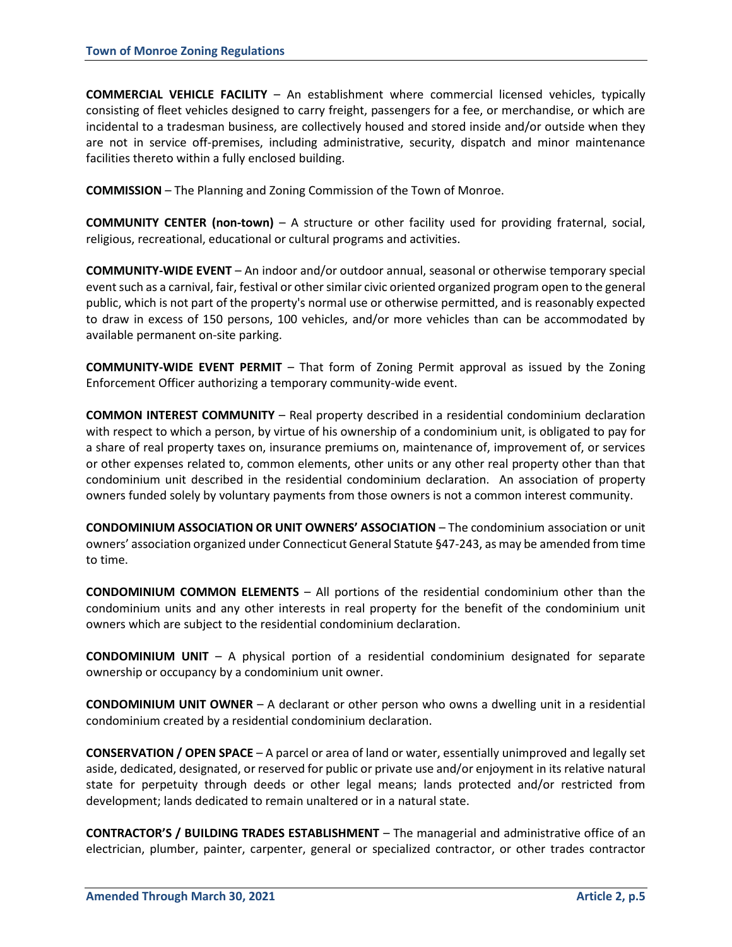**COMMERCIAL VEHICLE FACILITY** – An establishment where commercial licensed vehicles, typically consisting of fleet vehicles designed to carry freight, passengers for a fee, or merchandise, or which are incidental to a tradesman business, are collectively housed and stored inside and/or outside when they are not in service off-premises, including administrative, security, dispatch and minor maintenance facilities thereto within a fully enclosed building.

**COMMISSION** – The Planning and Zoning Commission of the Town of Monroe.

**COMMUNITY CENTER (non-town)** – A structure or other facility used for providing fraternal, social, religious, recreational, educational or cultural programs and activities.

**COMMUNITY-WIDE EVENT** – An indoor and/or outdoor annual, seasonal or otherwise temporary special event such as a carnival, fair, festival or other similar civic oriented organized program open to the general public, which is not part of the property's normal use or otherwise permitted, and is reasonably expected to draw in excess of 150 persons, 100 vehicles, and/or more vehicles than can be accommodated by available permanent on-site parking.

**COMMUNITY-WIDE EVENT PERMIT** – That form of Zoning Permit approval as issued by the Zoning Enforcement Officer authorizing a temporary community-wide event.

**COMMON INTEREST COMMUNITY** – Real property described in a residential condominium declaration with respect to which a person, by virtue of his ownership of a condominium unit, is obligated to pay for a share of real property taxes on, insurance premiums on, maintenance of, improvement of, or services or other expenses related to, common elements, other units or any other real property other than that condominium unit described in the residential condominium declaration. An association of property owners funded solely by voluntary payments from those owners is not a common interest community.

**CONDOMINIUM ASSOCIATION OR UNIT OWNERS' ASSOCIATION** – The condominium association or unit owners' association organized under Connecticut General Statute §47-243, as may be amended from time to time.

**CONDOMINIUM COMMON ELEMENTS** – All portions of the residential condominium other than the condominium units and any other interests in real property for the benefit of the condominium unit owners which are subject to the residential condominium declaration.

**CONDOMINIUM UNIT** – A physical portion of a residential condominium designated for separate ownership or occupancy by a condominium unit owner.

**CONDOMINIUM UNIT OWNER** – A declarant or other person who owns a dwelling unit in a residential condominium created by a residential condominium declaration.

**CONSERVATION / OPEN SPACE** – A parcel or area of land or water, essentially unimproved and legally set aside, dedicated, designated, or reserved for public or private use and/or enjoyment in its relative natural state for perpetuity through deeds or other legal means; lands protected and/or restricted from development; lands dedicated to remain unaltered or in a natural state.

**CONTRACTOR'S / BUILDING TRADES ESTABLISHMENT** – The managerial and administrative office of an electrician, plumber, painter, carpenter, general or specialized contractor, or other trades contractor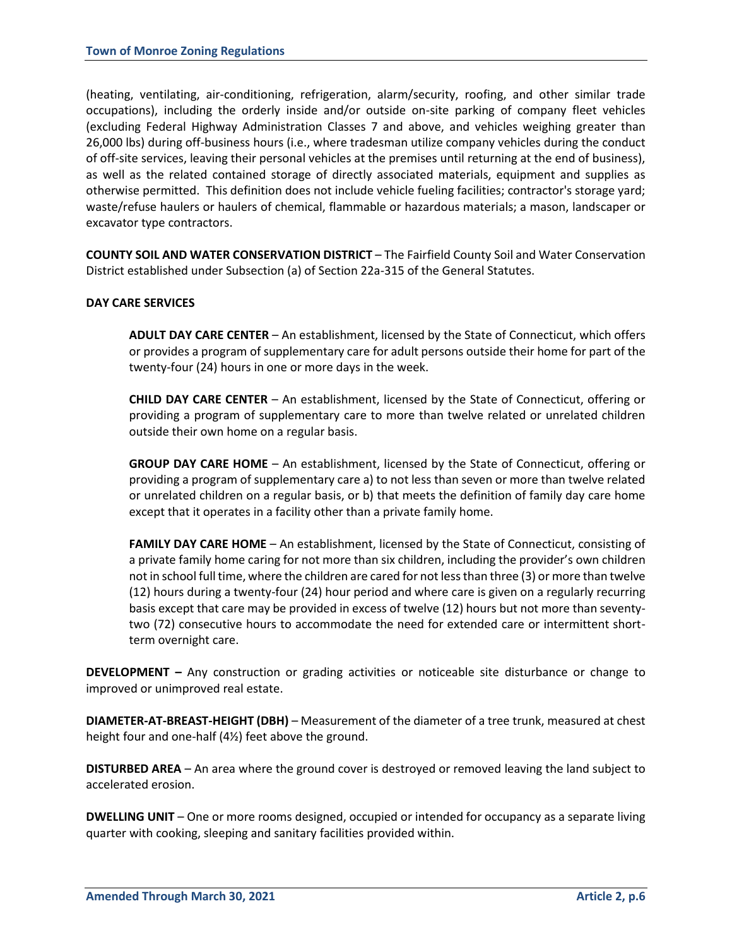(heating, ventilating, air-conditioning, refrigeration, alarm/security, roofing, and other similar trade occupations), including the orderly inside and/or outside on-site parking of company fleet vehicles (excluding Federal Highway Administration Classes 7 and above, and vehicles weighing greater than 26,000 lbs) during off-business hours (i.e., where tradesman utilize company vehicles during the conduct of off-site services, leaving their personal vehicles at the premises until returning at the end of business), as well as the related contained storage of directly associated materials, equipment and supplies as otherwise permitted. This definition does not include vehicle fueling facilities; contractor's storage yard; waste/refuse haulers or haulers of chemical, flammable or hazardous materials; a mason, landscaper or excavator type contractors.

**COUNTY SOIL AND WATER CONSERVATION DISTRICT** – The Fairfield County Soil and Water Conservation District established under Subsection (a) of Section 22a-315 of the General Statutes.

## **DAY CARE SERVICES**

**ADULT DAY CARE CENTER** – An establishment, licensed by the State of Connecticut, which offers or provides a program of supplementary care for adult persons outside their home for part of the twenty-four (24) hours in one or more days in the week.

**CHILD DAY CARE CENTER** – An establishment, licensed by the State of Connecticut, offering or providing a program of supplementary care to more than twelve related or unrelated children outside their own home on a regular basis.

**GROUP DAY CARE HOME** – An establishment, licensed by the State of Connecticut, offering or providing a program of supplementary care a) to not less than seven or more than twelve related or unrelated children on a regular basis, or b) that meets the definition of family day care home except that it operates in a facility other than a private family home.

**FAMILY DAY CARE HOME** – An establishment, licensed by the State of Connecticut, consisting of a private family home caring for not more than six children, including the provider's own children not in school full time, where the children are cared for not less than three (3) or more than twelve (12) hours during a twenty-four (24) hour period and where care is given on a regularly recurring basis except that care may be provided in excess of twelve (12) hours but not more than seventytwo (72) consecutive hours to accommodate the need for extended care or intermittent shortterm overnight care.

**DEVELOPMENT –** Any construction or grading activities or noticeable site disturbance or change to improved or unimproved real estate.

**DIAMETER-AT-BREAST-HEIGHT (DBH)** – Measurement of the diameter of a tree trunk, measured at chest height four and one-half (4½) feet above the ground.

**DISTURBED AREA** – An area where the ground cover is destroyed or removed leaving the land subject to accelerated erosion.

**DWELLING UNIT** – One or more rooms designed, occupied or intended for occupancy as a separate living quarter with cooking, sleeping and sanitary facilities provided within.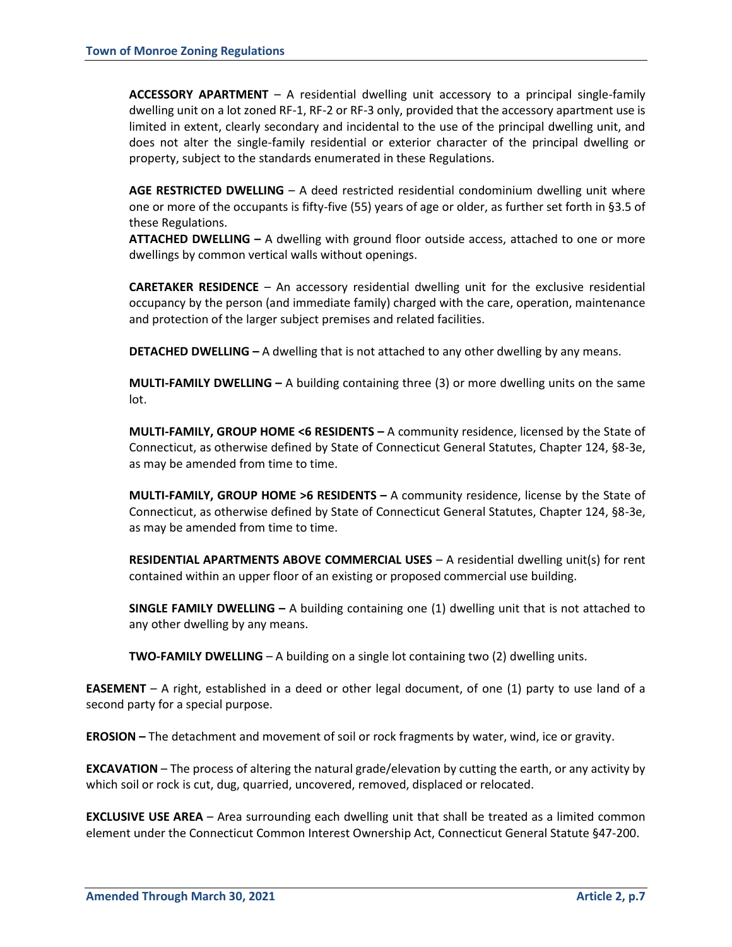**ACCESSORY APARTMENT** – A residential dwelling unit accessory to a principal single-family dwelling unit on a lot zoned RF-1, RF-2 or RF-3 only, provided that the accessory apartment use is limited in extent, clearly secondary and incidental to the use of the principal dwelling unit, and does not alter the single-family residential or exterior character of the principal dwelling or property, subject to the standards enumerated in these Regulations.

**AGE RESTRICTED DWELLING** – A deed restricted residential condominium dwelling unit where one or more of the occupants is fifty-five (55) years of age or older, as further set forth in §3.5 of these Regulations.

**ATTACHED DWELLING –** A dwelling with ground floor outside access, attached to one or more dwellings by common vertical walls without openings.

**CARETAKER RESIDENCE** – An accessory residential dwelling unit for the exclusive residential occupancy by the person (and immediate family) charged with the care, operation, maintenance and protection of the larger subject premises and related facilities.

**DETACHED DWELLING –** A dwelling that is not attached to any other dwelling by any means.

**MULTI-FAMILY DWELLING –** A building containing three (3) or more dwelling units on the same lot.

**MULTI-FAMILY, GROUP HOME <6 RESIDENTS –** A community residence, licensed by the State of Connecticut, as otherwise defined by State of Connecticut General Statutes, Chapter 124, §8-3e, as may be amended from time to time.

**MULTI-FAMILY, GROUP HOME >6 RESIDENTS –** A community residence, license by the State of Connecticut, as otherwise defined by State of Connecticut General Statutes, Chapter 124, §8-3e, as may be amended from time to time.

**RESIDENTIAL APARTMENTS ABOVE COMMERCIAL USES** – A residential dwelling unit(s) for rent contained within an upper floor of an existing or proposed commercial use building.

**SINGLE FAMILY DWELLING –** A building containing one (1) dwelling unit that is not attached to any other dwelling by any means.

**TWO-FAMILY DWELLING** – A building on a single lot containing two (2) dwelling units.

**EASEMENT** – A right, established in a deed or other legal document, of one (1) party to use land of a second party for a special purpose.

**EROSION –** The detachment and movement of soil or rock fragments by water, wind, ice or gravity.

**EXCAVATION** – The process of altering the natural grade/elevation by cutting the earth, or any activity by which soil or rock is cut, dug, quarried, uncovered, removed, displaced or relocated.

**EXCLUSIVE USE AREA** – Area surrounding each dwelling unit that shall be treated as a limited common element under the Connecticut Common Interest Ownership Act, Connecticut General Statute §47-200.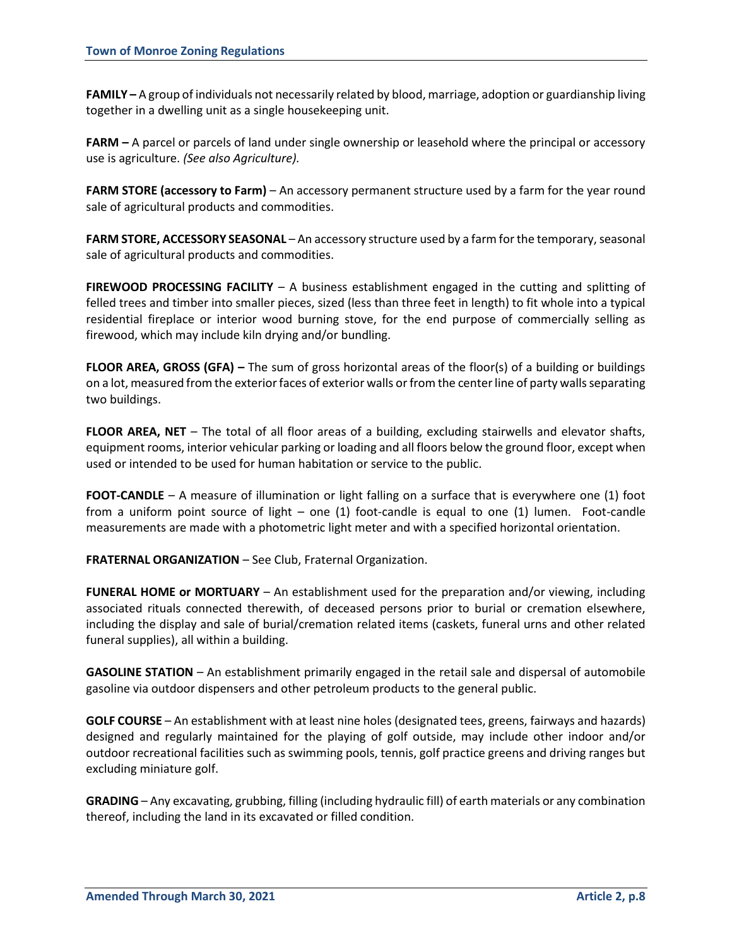**FAMILY –** A group of individuals not necessarily related by blood, marriage, adoption or guardianship living together in a dwelling unit as a single housekeeping unit.

**FARM –** A parcel or parcels of land under single ownership or leasehold where the principal or accessory use is agriculture. *(See also Agriculture).*

**FARM STORE (accessory to Farm)** – An accessory permanent structure used by a farm for the year round sale of agricultural products and commodities.

**FARM STORE, ACCESSORY SEASONAL** – An accessory structure used by a farm for the temporary, seasonal sale of agricultural products and commodities.

**FIREWOOD PROCESSING FACILITY** – A business establishment engaged in the cutting and splitting of felled trees and timber into smaller pieces, sized (less than three feet in length) to fit whole into a typical residential fireplace or interior wood burning stove, for the end purpose of commercially selling as firewood, which may include kiln drying and/or bundling.

**FLOOR AREA, GROSS (GFA) –** The sum of gross horizontal areas of the floor(s) of a building or buildings on a lot, measured from the exterior faces of exterior walls or from the center line of party walls separating two buildings.

**FLOOR AREA, NET** – The total of all floor areas of a building, excluding stairwells and elevator shafts, equipment rooms, interior vehicular parking or loading and all floors below the ground floor, except when used or intended to be used for human habitation or service to the public.

**FOOT-CANDLE** – A measure of illumination or light falling on a surface that is everywhere one (1) foot from a uniform point source of light – one (1) foot-candle is equal to one (1) lumen. Foot-candle measurements are made with a photometric light meter and with a specified horizontal orientation.

**FRATERNAL ORGANIZATION** – See Club, Fraternal Organization.

**FUNERAL HOME or MORTUARY** – An establishment used for the preparation and/or viewing, including associated rituals connected therewith, of deceased persons prior to burial or cremation elsewhere, including the display and sale of burial/cremation related items (caskets, funeral urns and other related funeral supplies), all within a building.

**GASOLINE STATION** – An establishment primarily engaged in the retail sale and dispersal of automobile gasoline via outdoor dispensers and other petroleum products to the general public.

**GOLF COURSE** – An establishment with at least nine holes (designated tees, greens, fairways and hazards) designed and regularly maintained for the playing of golf outside, may include other indoor and/or outdoor recreational facilities such as swimming pools, tennis, golf practice greens and driving ranges but excluding miniature golf.

**GRADING** – Any excavating, grubbing, filling (including hydraulic fill) of earth materials or any combination thereof, including the land in its excavated or filled condition.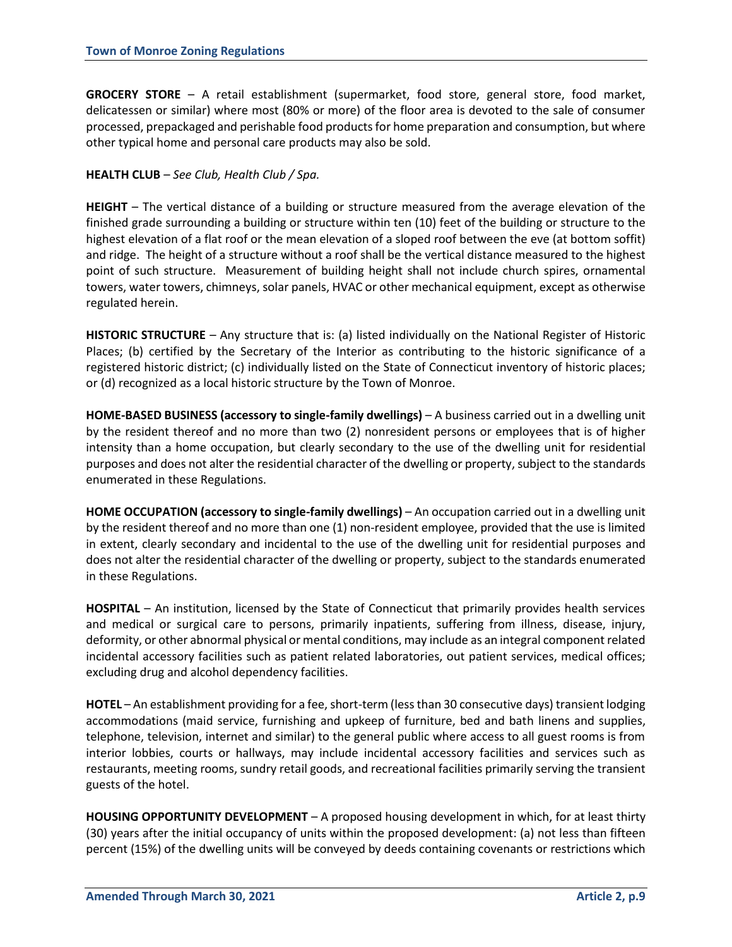**GROCERY STORE** – A retail establishment (supermarket, food store, general store, food market, delicatessen or similar) where most (80% or more) of the floor area is devoted to the sale of consumer processed, prepackaged and perishable food products for home preparation and consumption, but where other typical home and personal care products may also be sold.

## **HEALTH CLUB** – *See Club, Health Club / Spa.*

**HEIGHT** – The vertical distance of a building or structure measured from the average elevation of the finished grade surrounding a building or structure within ten (10) feet of the building or structure to the highest elevation of a flat roof or the mean elevation of a sloped roof between the eve (at bottom soffit) and ridge. The height of a structure without a roof shall be the vertical distance measured to the highest point of such structure. Measurement of building height shall not include church spires, ornamental towers, water towers, chimneys, solar panels, HVAC or other mechanical equipment, except as otherwise regulated herein.

**HISTORIC STRUCTURE** – Any structure that is: (a) listed individually on the National Register of Historic Places; (b) certified by the Secretary of the Interior as contributing to the historic significance of a registered historic district; (c) individually listed on the State of Connecticut inventory of historic places; or (d) recognized as a local historic structure by the Town of Monroe.

**HOME-BASED BUSINESS (accessory to single-family dwellings)** – A business carried out in a dwelling unit by the resident thereof and no more than two (2) nonresident persons or employees that is of higher intensity than a home occupation, but clearly secondary to the use of the dwelling unit for residential purposes and does not alter the residential character of the dwelling or property, subject to the standards enumerated in these Regulations.

**HOME OCCUPATION (accessory to single-family dwellings)** – An occupation carried out in a dwelling unit by the resident thereof and no more than one (1) non-resident employee, provided that the use is limited in extent, clearly secondary and incidental to the use of the dwelling unit for residential purposes and does not alter the residential character of the dwelling or property, subject to the standards enumerated in these Regulations.

**HOSPITAL** – An institution, licensed by the State of Connecticut that primarily provides health services and medical or surgical care to persons, primarily inpatients, suffering from illness, disease, injury, deformity, or other abnormal physical or mental conditions, may include as an integral component related incidental accessory facilities such as patient related laboratories, out patient services, medical offices; excluding drug and alcohol dependency facilities.

**HOTEL** – An establishment providing for a fee, short-term (less than 30 consecutive days) transient lodging accommodations (maid service, furnishing and upkeep of furniture, bed and bath linens and supplies, telephone, television, internet and similar) to the general public where access to all guest rooms is from interior lobbies, courts or hallways, may include incidental accessory facilities and services such as restaurants, meeting rooms, sundry retail goods, and recreational facilities primarily serving the transient guests of the hotel.

**HOUSING OPPORTUNITY DEVELOPMENT** – A proposed housing development in which, for at least thirty (30) years after the initial occupancy of units within the proposed development: (a) not less than fifteen percent (15%) of the dwelling units will be conveyed by deeds containing covenants or restrictions which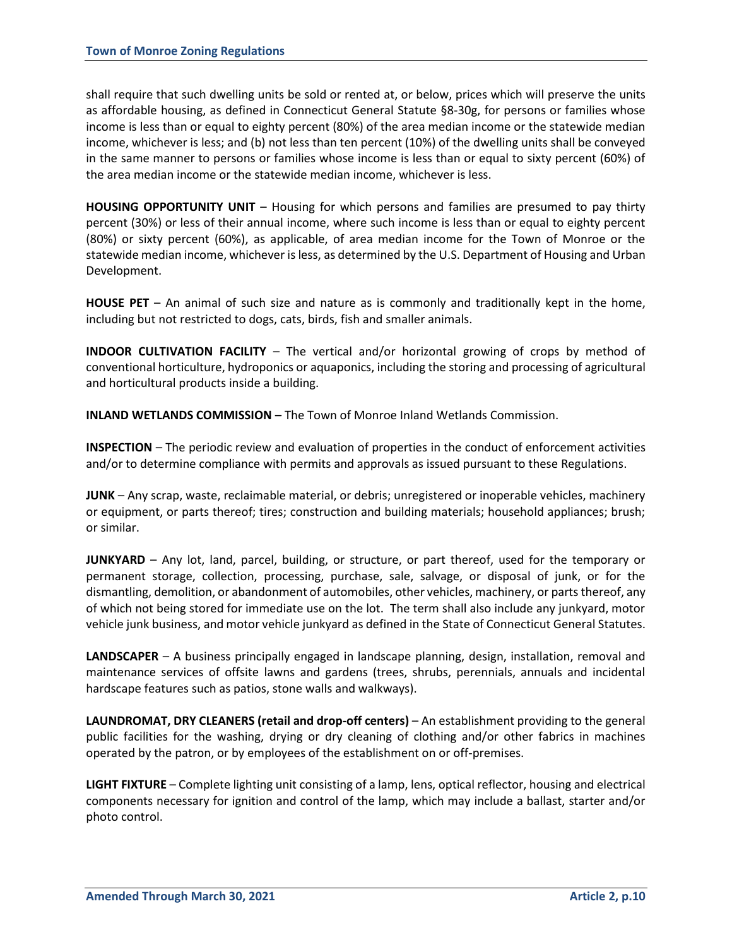shall require that such dwelling units be sold or rented at, or below, prices which will preserve the units as affordable housing, as defined in Connecticut General Statute §8-30g, for persons or families whose income is less than or equal to eighty percent (80%) of the area median income or the statewide median income, whichever is less; and (b) not less than ten percent (10%) of the dwelling units shall be conveyed in the same manner to persons or families whose income is less than or equal to sixty percent (60%) of the area median income or the statewide median income, whichever is less.

**HOUSING OPPORTUNITY UNIT** – Housing for which persons and families are presumed to pay thirty percent (30%) or less of their annual income, where such income is less than or equal to eighty percent (80%) or sixty percent (60%), as applicable, of area median income for the Town of Monroe or the statewide median income, whichever is less, as determined by the U.S. Department of Housing and Urban Development.

**HOUSE PET** – An animal of such size and nature as is commonly and traditionally kept in the home, including but not restricted to dogs, cats, birds, fish and smaller animals.

**INDOOR CULTIVATION FACILITY** – The vertical and/or horizontal growing of crops by method of conventional horticulture, hydroponics or aquaponics, including the storing and processing of agricultural and horticultural products inside a building.

**INLAND WETLANDS COMMISSION - The Town of Monroe Inland Wetlands Commission.** 

**INSPECTION** – The periodic review and evaluation of properties in the conduct of enforcement activities and/or to determine compliance with permits and approvals as issued pursuant to these Regulations.

**JUNK** – Any scrap, waste, reclaimable material, or debris; unregistered or inoperable vehicles, machinery or equipment, or parts thereof; tires; construction and building materials; household appliances; brush; or similar.

**JUNKYARD** – Any lot, land, parcel, building, or structure, or part thereof, used for the temporary or permanent storage, collection, processing, purchase, sale, salvage, or disposal of junk, or for the dismantling, demolition, or abandonment of automobiles, other vehicles, machinery, or parts thereof, any of which not being stored for immediate use on the lot. The term shall also include any junkyard, motor vehicle junk business, and motor vehicle junkyard as defined in the State of Connecticut General Statutes.

**LANDSCAPER** – A business principally engaged in landscape planning, design, installation, removal and maintenance services of offsite lawns and gardens (trees, shrubs, perennials, annuals and incidental hardscape features such as patios, stone walls and walkways).

**LAUNDROMAT, DRY CLEANERS (retail and drop-off centers)** – An establishment providing to the general public facilities for the washing, drying or dry cleaning of clothing and/or other fabrics in machines operated by the patron, or by employees of the establishment on or off-premises.

**LIGHT FIXTURE** – Complete lighting unit consisting of a lamp, lens, optical reflector, housing and electrical components necessary for ignition and control of the lamp, which may include a ballast, starter and/or photo control.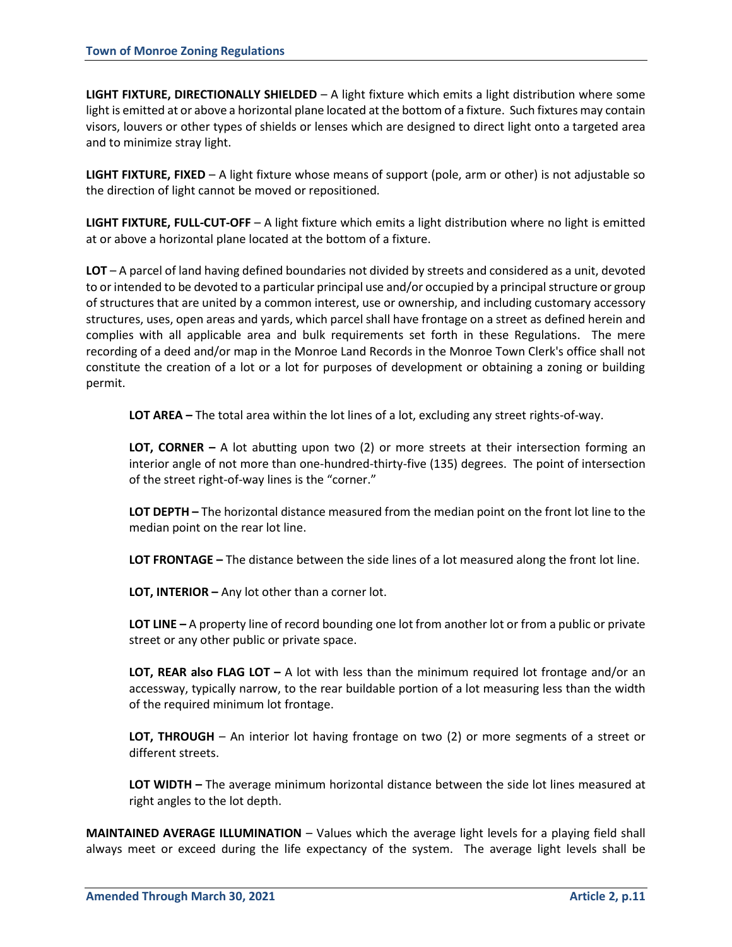**LIGHT FIXTURE, DIRECTIONALLY SHIELDED** – A light fixture which emits a light distribution where some light is emitted at or above a horizontal plane located at the bottom of a fixture. Such fixtures may contain visors, louvers or other types of shields or lenses which are designed to direct light onto a targeted area and to minimize stray light.

**LIGHT FIXTURE, FIXED** – A light fixture whose means of support (pole, arm or other) is not adjustable so the direction of light cannot be moved or repositioned.

**LIGHT FIXTURE, FULL-CUT-OFF** – A light fixture which emits a light distribution where no light is emitted at or above a horizontal plane located at the bottom of a fixture.

**LOT** – A parcel of land having defined boundaries not divided by streets and considered as a unit, devoted to or intended to be devoted to a particular principal use and/or occupied by a principal structure or group of structures that are united by a common interest, use or ownership, and including customary accessory structures, uses, open areas and yards, which parcel shall have frontage on a street as defined herein and complies with all applicable area and bulk requirements set forth in these Regulations. The mere recording of a deed and/or map in the Monroe Land Records in the Monroe Town Clerk's office shall not constitute the creation of a lot or a lot for purposes of development or obtaining a zoning or building permit.

**LOT AREA –** The total area within the lot lines of a lot, excluding any street rights-of-way.

**LOT, CORNER –** A lot abutting upon two (2) or more streets at their intersection forming an interior angle of not more than one-hundred-thirty-five (135) degrees. The point of intersection of the street right-of-way lines is the "corner."

**LOT DEPTH –** The horizontal distance measured from the median point on the front lot line to the median point on the rear lot line.

**LOT FRONTAGE –** The distance between the side lines of a lot measured along the front lot line.

**LOT, INTERIOR –** Any lot other than a corner lot.

**LOT LINE –** A property line of record bounding one lot from another lot or from a public or private street or any other public or private space.

**LOT, REAR also FLAG LOT –** A lot with less than the minimum required lot frontage and/or an accessway, typically narrow, to the rear buildable portion of a lot measuring less than the width of the required minimum lot frontage.

**LOT, THROUGH** – An interior lot having frontage on two (2) or more segments of a street or different streets.

**LOT WIDTH –** The average minimum horizontal distance between the side lot lines measured at right angles to the lot depth.

**MAINTAINED AVERAGE ILLUMINATION** – Values which the average light levels for a playing field shall always meet or exceed during the life expectancy of the system. The average light levels shall be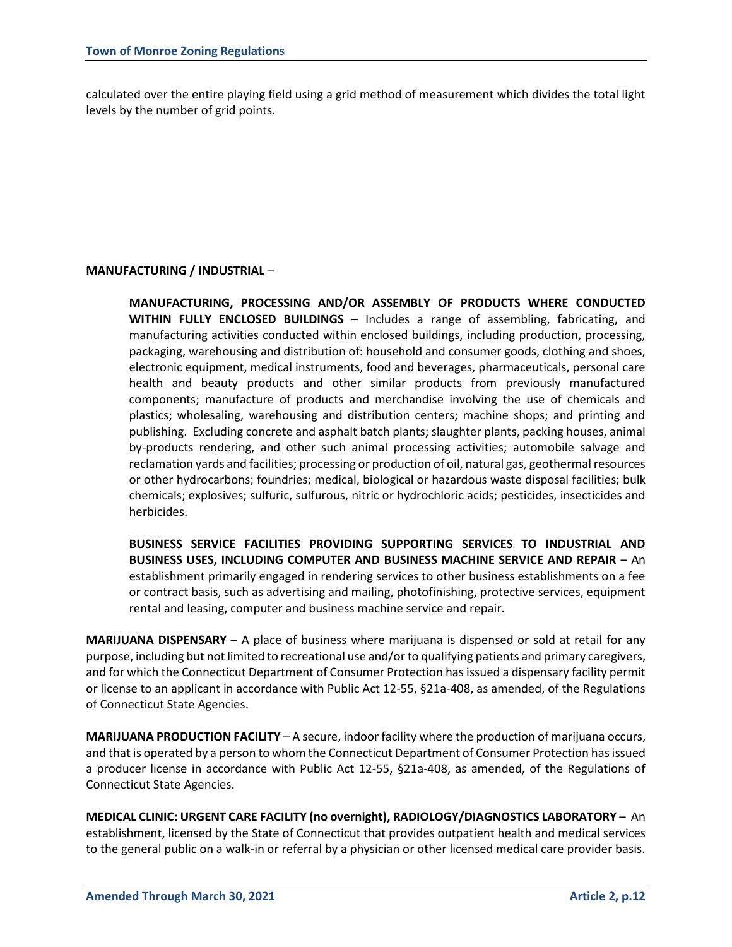calculated over the entire playing field using a grid method of measurement which divides the total light levels by the number of grid points.

# **MANUFACTURING / INDUSTRIAL** –

**MANUFACTURING, PROCESSING AND/OR ASSEMBLY OF PRODUCTS WHERE CONDUCTED WITHIN FULLY ENCLOSED BUILDINGS** – Includes a range of assembling, fabricating, and manufacturing activities conducted within enclosed buildings, including production, processing, packaging, warehousing and distribution of: household and consumer goods, clothing and shoes, electronic equipment, medical instruments, food and beverages, pharmaceuticals, personal care health and beauty products and other similar products from previously manufactured components; manufacture of products and merchandise involving the use of chemicals and plastics; wholesaling, warehousing and distribution centers; machine shops; and printing and publishing. Excluding concrete and asphalt batch plants; slaughter plants, packing houses, animal by-products rendering, and other such animal processing activities; automobile salvage and reclamation yards and facilities; processing or production of oil, natural gas, geothermal resources or other hydrocarbons; foundries; medical, biological or hazardous waste disposal facilities; bulk chemicals; explosives; sulfuric, sulfurous, nitric or hydrochloric acids; pesticides, insecticides and herbicides.

**BUSINESS SERVICE FACILITIES PROVIDING SUPPORTING SERVICES TO INDUSTRIAL AND BUSINESS USES, INCLUDING COMPUTER AND BUSINESS MACHINE SERVICE AND REPAIR** – An establishment primarily engaged in rendering services to other business establishments on a fee or contract basis, such as advertising and mailing, photofinishing, protective services, equipment rental and leasing, computer and business machine service and repair.

**MARIJUANA DISPENSARY** – A place of business where marijuana is dispensed or sold at retail for any purpose, including but not limited to recreational use and/or to qualifying patients and primary caregivers, and for which the Connecticut Department of Consumer Protection has issued a dispensary facility permit or license to an applicant in accordance with Public Act 12-55, §21a-408, as amended, of the Regulations of Connecticut State Agencies.

**MARIJUANA PRODUCTION FACILITY** – A secure, indoor facility where the production of marijuana occurs, and that is operated by a person to whom the Connecticut Department of Consumer Protection has issued a producer license in accordance with Public Act 12-55, §21a-408, as amended, of the Regulations of Connecticut State Agencies.

**MEDICAL CLINIC: URGENT CARE FACILITY (no overnight), RADIOLOGY/DIAGNOSTICS LABORATORY** – An establishment, licensed by the State of Connecticut that provides outpatient health and medical services to the general public on a walk-in or referral by a physician or other licensed medical care provider basis.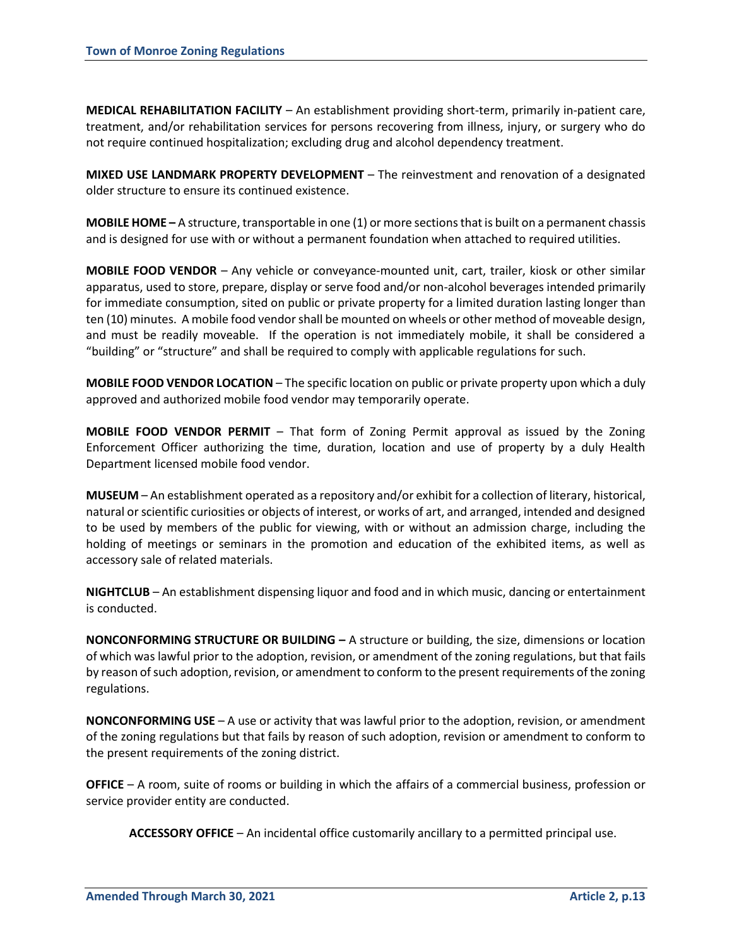**MEDICAL REHABILITATION FACILITY** – An establishment providing short-term, primarily in-patient care, treatment, and/or rehabilitation services for persons recovering from illness, injury, or surgery who do not require continued hospitalization; excluding drug and alcohol dependency treatment.

**MIXED USE LANDMARK PROPERTY DEVELOPMENT** – The reinvestment and renovation of a designated older structure to ensure its continued existence.

**MOBILE HOME –** A structure, transportable in one (1) or more sections that is built on a permanent chassis and is designed for use with or without a permanent foundation when attached to required utilities.

**MOBILE FOOD VENDOR** – Any vehicle or conveyance-mounted unit, cart, trailer, kiosk or other similar apparatus, used to store, prepare, display or serve food and/or non-alcohol beverages intended primarily for immediate consumption, sited on public or private property for a limited duration lasting longer than ten (10) minutes. A mobile food vendor shall be mounted on wheels or other method of moveable design, and must be readily moveable. If the operation is not immediately mobile, it shall be considered a "building" or "structure" and shall be required to comply with applicable regulations for such.

**MOBILE FOOD VENDOR LOCATION** – The specific location on public or private property upon which a duly approved and authorized mobile food vendor may temporarily operate.

**MOBILE FOOD VENDOR PERMIT** – That form of Zoning Permit approval as issued by the Zoning Enforcement Officer authorizing the time, duration, location and use of property by a duly Health Department licensed mobile food vendor.

**MUSEUM** – An establishment operated as a repository and/or exhibit for a collection of literary, historical, natural or scientific curiosities or objects of interest, or works of art, and arranged, intended and designed to be used by members of the public for viewing, with or without an admission charge, including the holding of meetings or seminars in the promotion and education of the exhibited items, as well as accessory sale of related materials.

**NIGHTCLUB** – An establishment dispensing liquor and food and in which music, dancing or entertainment is conducted.

**NONCONFORMING STRUCTURE OR BUILDING –** A structure or building, the size, dimensions or location of which was lawful prior to the adoption, revision, or amendment of the zoning regulations, but that fails by reason ofsuch adoption, revision, or amendment to conform to the present requirements of the zoning regulations.

**NONCONFORMING USE** – A use or activity that was lawful prior to the adoption, revision, or amendment of the zoning regulations but that fails by reason of such adoption, revision or amendment to conform to the present requirements of the zoning district.

**OFFICE** – A room, suite of rooms or building in which the affairs of a commercial business, profession or service provider entity are conducted.

**ACCESSORY OFFICE** – An incidental office customarily ancillary to a permitted principal use.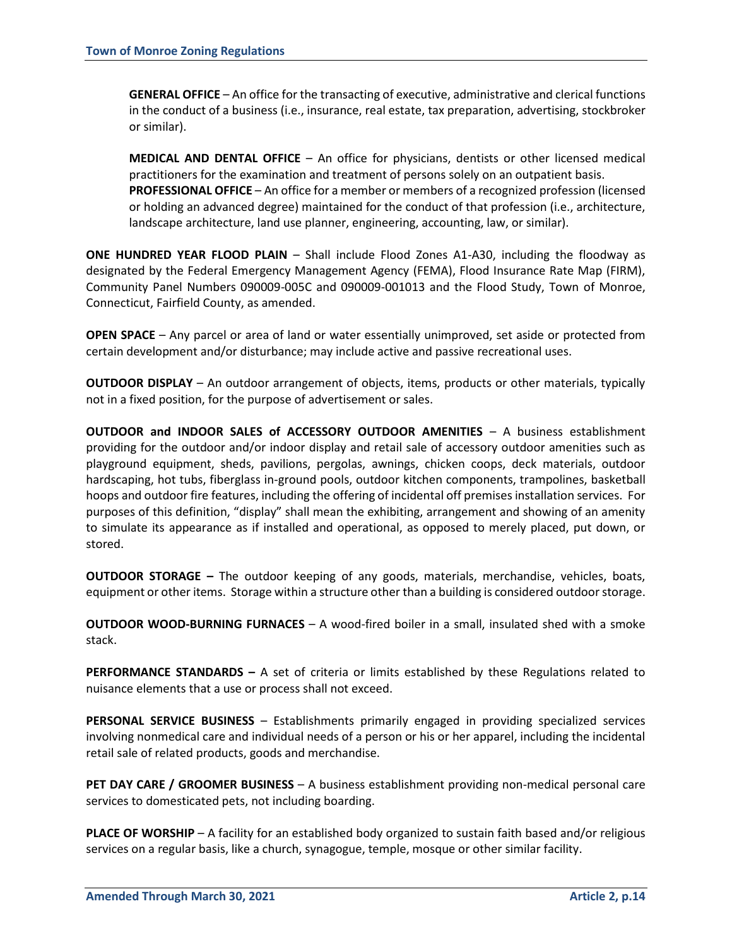**GENERAL OFFICE** – An office for the transacting of executive, administrative and clerical functions in the conduct of a business (i.e., insurance, real estate, tax preparation, advertising, stockbroker or similar).

**MEDICAL AND DENTAL OFFICE** – An office for physicians, dentists or other licensed medical practitioners for the examination and treatment of persons solely on an outpatient basis. **PROFESSIONAL OFFICE** – An office for a member or members of a recognized profession (licensed or holding an advanced degree) maintained for the conduct of that profession (i.e., architecture, landscape architecture, land use planner, engineering, accounting, law, or similar).

**ONE HUNDRED YEAR FLOOD PLAIN** – Shall include Flood Zones A1-A30, including the floodway as designated by the Federal Emergency Management Agency (FEMA), Flood Insurance Rate Map (FIRM), Community Panel Numbers 090009-005C and 090009-001013 and the Flood Study, Town of Monroe, Connecticut, Fairfield County, as amended.

**OPEN SPACE** – Any parcel or area of land or water essentially unimproved, set aside or protected from certain development and/or disturbance; may include active and passive recreational uses.

**OUTDOOR DISPLAY** – An outdoor arrangement of objects, items, products or other materials, typically not in a fixed position, for the purpose of advertisement or sales.

**OUTDOOR and INDOOR SALES of ACCESSORY OUTDOOR AMENITIES** – A business establishment providing for the outdoor and/or indoor display and retail sale of accessory outdoor amenities such as playground equipment, sheds, pavilions, pergolas, awnings, chicken coops, deck materials, outdoor hardscaping, hot tubs, fiberglass in-ground pools, outdoor kitchen components, trampolines, basketball hoops and outdoor fire features, including the offering of incidental off premises installation services. For purposes of this definition, "display" shall mean the exhibiting, arrangement and showing of an amenity to simulate its appearance as if installed and operational, as opposed to merely placed, put down, or stored.

**OUTDOOR STORAGE –** The outdoor keeping of any goods, materials, merchandise, vehicles, boats, equipment or other items. Storage within a structure other than a building is considered outdoor storage.

**OUTDOOR WOOD-BURNING FURNACES** – A wood-fired boiler in a small, insulated shed with a smoke stack.

**PERFORMANCE STANDARDS –** A set of criteria or limits established by these Regulations related to nuisance elements that a use or process shall not exceed.

**PERSONAL SERVICE BUSINESS** – Establishments primarily engaged in providing specialized services involving nonmedical care and individual needs of a person or his or her apparel, including the incidental retail sale of related products, goods and merchandise.

**PET DAY CARE / GROOMER BUSINESS** – A business establishment providing non-medical personal care services to domesticated pets, not including boarding.

**PLACE OF WORSHIP** – A facility for an established body organized to sustain faith based and/or religious services on a regular basis, like a church, synagogue, temple, mosque or other similar facility.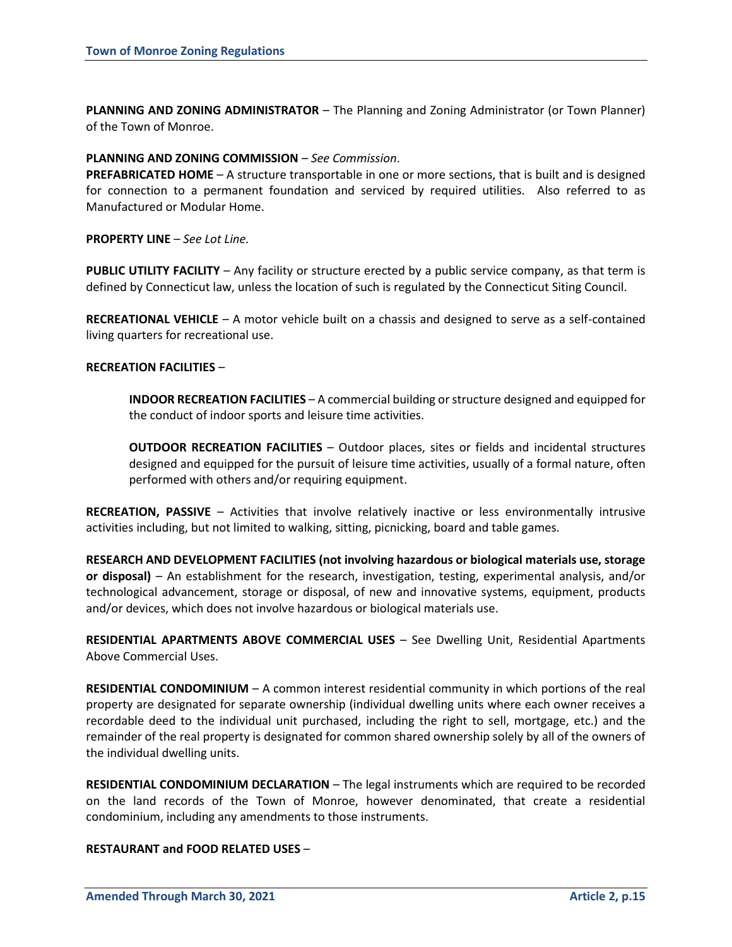**PLANNING AND ZONING ADMINISTRATOR** – The Planning and Zoning Administrator (or Town Planner) of the Town of Monroe.

#### **PLANNING AND ZONING COMMISSION** – *See Commission*.

**PREFABRICATED HOME** – A structure transportable in one or more sections, that is built and is designed for connection to a permanent foundation and serviced by required utilities. Also referred to as Manufactured or Modular Home.

#### **PROPERTY LINE** – *See Lot Line.*

**PUBLIC UTILITY FACILITY** – Any facility or structure erected by a public service company, as that term is defined by Connecticut law, unless the location of such is regulated by the Connecticut Siting Council.

**RECREATIONAL VEHICLE** – A motor vehicle built on a chassis and designed to serve as a self-contained living quarters for recreational use.

#### **RECREATION FACILITIES** –

**INDOOR RECREATION FACILITIES** – A commercial building or structure designed and equipped for the conduct of indoor sports and leisure time activities.

**OUTDOOR RECREATION FACILITIES** – Outdoor places, sites or fields and incidental structures designed and equipped for the pursuit of leisure time activities, usually of a formal nature, often performed with others and/or requiring equipment.

**RECREATION, PASSIVE** – Activities that involve relatively inactive or less environmentally intrusive activities including, but not limited to walking, sitting, picnicking, board and table games.

**RESEARCH AND DEVELOPMENT FACILITIES (not involving hazardous or biological materials use, storage or disposal)** – An establishment for the research, investigation, testing, experimental analysis, and/or technological advancement, storage or disposal, of new and innovative systems, equipment, products and/or devices, which does not involve hazardous or biological materials use.

**RESIDENTIAL APARTMENTS ABOVE COMMERCIAL USES** – See Dwelling Unit, Residential Apartments Above Commercial Uses.

**RESIDENTIAL CONDOMINIUM** – A common interest residential community in which portions of the real property are designated for separate ownership (individual dwelling units where each owner receives a recordable deed to the individual unit purchased, including the right to sell, mortgage, etc.) and the remainder of the real property is designated for common shared ownership solely by all of the owners of the individual dwelling units.

**RESIDENTIAL CONDOMINIUM DECLARATION** – The legal instruments which are required to be recorded on the land records of the Town of Monroe, however denominated, that create a residential condominium, including any amendments to those instruments.

#### **RESTAURANT and FOOD RELATED USES** –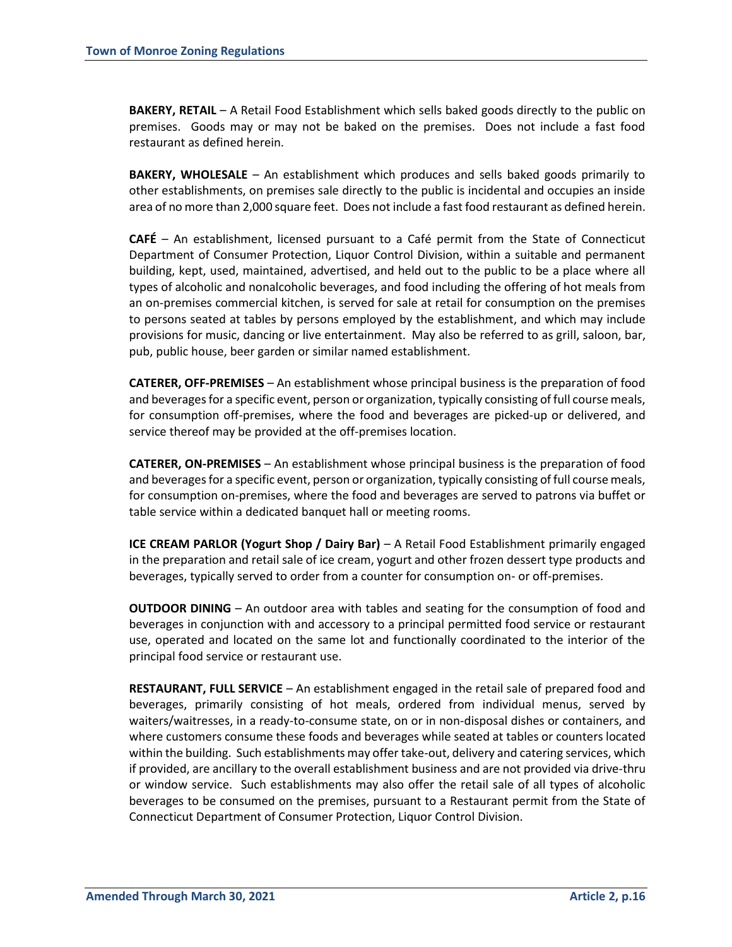**BAKERY, RETAIL** – A Retail Food Establishment which sells baked goods directly to the public on premises. Goods may or may not be baked on the premises. Does not include a fast food restaurant as defined herein.

**BAKERY, WHOLESALE** – An establishment which produces and sells baked goods primarily to other establishments, on premises sale directly to the public is incidental and occupies an inside area of no more than 2,000 square feet. Does not include a fast food restaurant as defined herein.

**CAFÉ** – An establishment, licensed pursuant to a Café permit from the State of Connecticut Department of Consumer Protection, Liquor Control Division, within a suitable and permanent building, kept, used, maintained, advertised, and held out to the public to be a place where all types of alcoholic and nonalcoholic beverages, and food including the offering of hot meals from an on-premises commercial kitchen, is served for sale at retail for consumption on the premises to persons seated at tables by persons employed by the establishment, and which may include provisions for music, dancing or live entertainment. May also be referred to as grill, saloon, bar, pub, public house, beer garden or similar named establishment.

**CATERER, OFF-PREMISES** – An establishment whose principal business is the preparation of food and beverages for a specific event, person or organization, typically consisting of full course meals, for consumption off-premises, where the food and beverages are picked-up or delivered, and service thereof may be provided at the off-premises location.

**CATERER, ON-PREMISES** – An establishment whose principal business is the preparation of food and beverages for a specific event, person or organization, typically consisting of full course meals, for consumption on-premises, where the food and beverages are served to patrons via buffet or table service within a dedicated banquet hall or meeting rooms.

**ICE CREAM PARLOR (Yogurt Shop / Dairy Bar)** – A Retail Food Establishment primarily engaged in the preparation and retail sale of ice cream, yogurt and other frozen dessert type products and beverages, typically served to order from a counter for consumption on- or off-premises.

**OUTDOOR DINING** – An outdoor area with tables and seating for the consumption of food and beverages in conjunction with and accessory to a principal permitted food service or restaurant use, operated and located on the same lot and functionally coordinated to the interior of the principal food service or restaurant use.

**RESTAURANT, FULL SERVICE** – An establishment engaged in the retail sale of prepared food and beverages, primarily consisting of hot meals, ordered from individual menus, served by waiters/waitresses, in a ready-to-consume state, on or in non-disposal dishes or containers, and where customers consume these foods and beverages while seated at tables or counters located within the building. Such establishments may offer take-out, delivery and catering services, which if provided, are ancillary to the overall establishment business and are not provided via drive-thru or window service. Such establishments may also offer the retail sale of all types of alcoholic beverages to be consumed on the premises, pursuant to a Restaurant permit from the State of Connecticut Department of Consumer Protection, Liquor Control Division.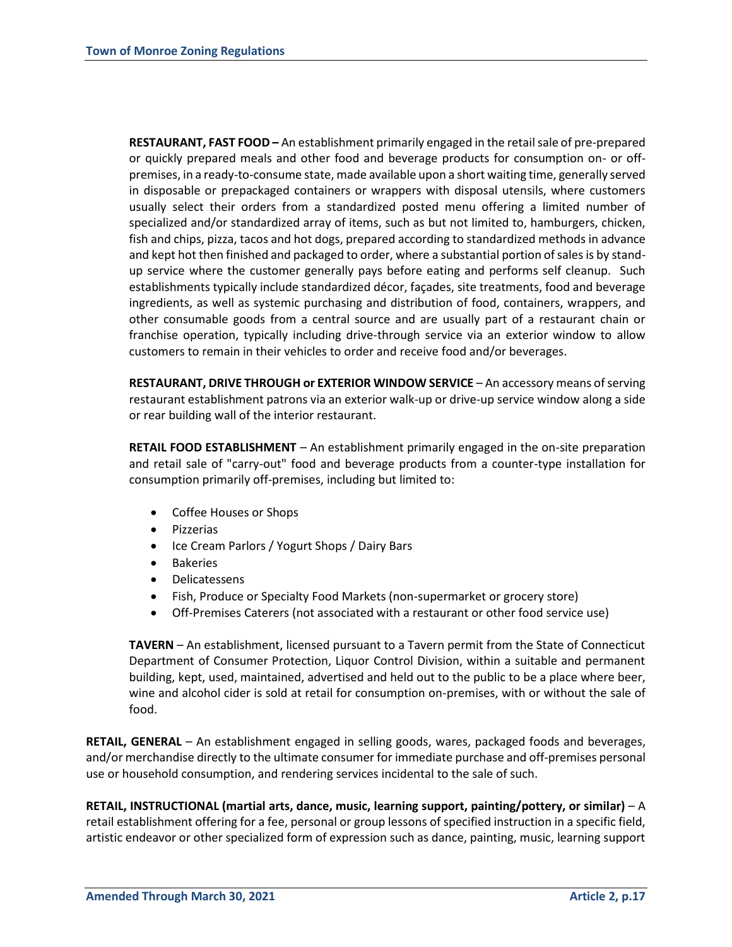**RESTAURANT, FAST FOOD –** An establishment primarily engaged in the retail sale of pre-prepared or quickly prepared meals and other food and beverage products for consumption on- or offpremises, in a ready-to-consume state, made available upon a short waiting time, generally served in disposable or prepackaged containers or wrappers with disposal utensils, where customers usually select their orders from a standardized posted menu offering a limited number of specialized and/or standardized array of items, such as but not limited to, hamburgers, chicken, fish and chips, pizza, tacos and hot dogs, prepared according to standardized methods in advance and kept hot then finished and packaged to order, where a substantial portion of sales is by standup service where the customer generally pays before eating and performs self cleanup. Such establishments typically include standardized décor, façades, site treatments, food and beverage ingredients, as well as systemic purchasing and distribution of food, containers, wrappers, and other consumable goods from a central source and are usually part of a restaurant chain or franchise operation, typically including drive-through service via an exterior window to allow customers to remain in their vehicles to order and receive food and/or beverages.

**RESTAURANT, DRIVE THROUGH or EXTERIOR WINDOW SERVICE** – An accessory means of serving restaurant establishment patrons via an exterior walk-up or drive-up service window along a side or rear building wall of the interior restaurant.

**RETAIL FOOD ESTABLISHMENT** – An establishment primarily engaged in the on-site preparation and retail sale of "carry-out" food and beverage products from a counter-type installation for consumption primarily off-premises, including but limited to:

- Coffee Houses or Shops
- **•** Pizzerias
- Ice Cream Parlors / Yogurt Shops / Dairy Bars
- Bakeries
- Delicatessens
- Fish, Produce or Specialty Food Markets (non-supermarket or grocery store)
- Off-Premises Caterers (not associated with a restaurant or other food service use)

**TAVERN** – An establishment, licensed pursuant to a Tavern permit from the State of Connecticut Department of Consumer Protection, Liquor Control Division, within a suitable and permanent building, kept, used, maintained, advertised and held out to the public to be a place where beer, wine and alcohol cider is sold at retail for consumption on-premises, with or without the sale of food.

**RETAIL, GENERAL** – An establishment engaged in selling goods, wares, packaged foods and beverages, and/or merchandise directly to the ultimate consumer for immediate purchase and off-premises personal use or household consumption, and rendering services incidental to the sale of such.

**RETAIL, INSTRUCTIONAL (martial arts, dance, music, learning support, painting/pottery, or similar)** – A retail establishment offering for a fee, personal or group lessons of specified instruction in a specific field, artistic endeavor or other specialized form of expression such as dance, painting, music, learning support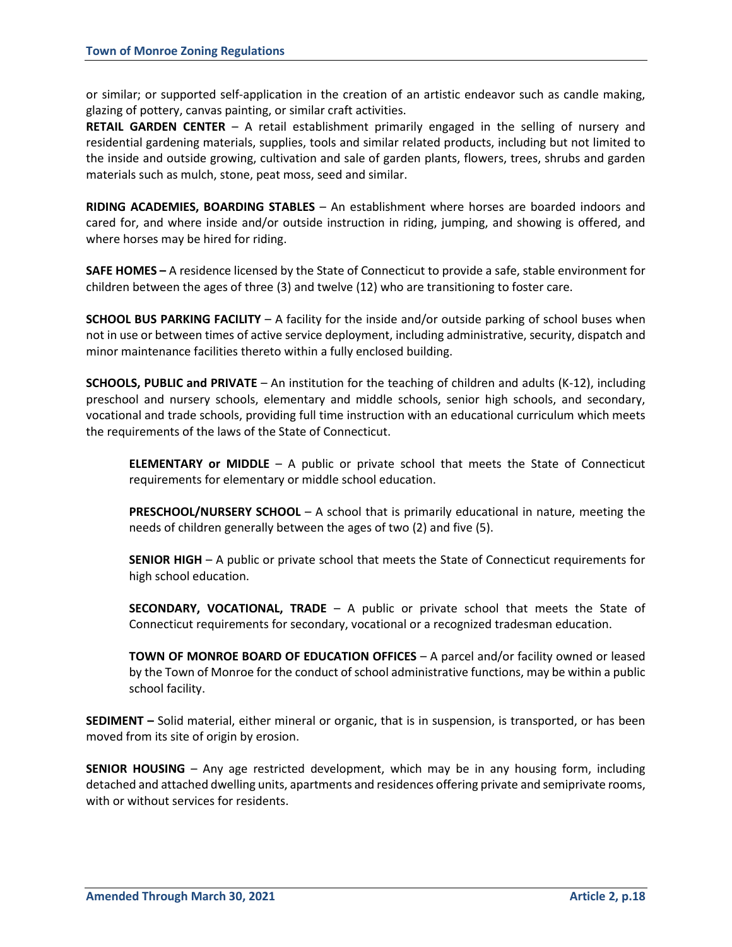or similar; or supported self-application in the creation of an artistic endeavor such as candle making, glazing of pottery, canvas painting, or similar craft activities.

**RETAIL GARDEN CENTER** – A retail establishment primarily engaged in the selling of nursery and residential gardening materials, supplies, tools and similar related products, including but not limited to the inside and outside growing, cultivation and sale of garden plants, flowers, trees, shrubs and garden materials such as mulch, stone, peat moss, seed and similar.

**RIDING ACADEMIES, BOARDING STABLES** – An establishment where horses are boarded indoors and cared for, and where inside and/or outside instruction in riding, jumping, and showing is offered, and where horses may be hired for riding.

**SAFE HOMES –** A residence licensed by the State of Connecticut to provide a safe, stable environment for children between the ages of three (3) and twelve (12) who are transitioning to foster care.

**SCHOOL BUS PARKING FACILITY** – A facility for the inside and/or outside parking of school buses when not in use or between times of active service deployment, including administrative, security, dispatch and minor maintenance facilities thereto within a fully enclosed building.

**SCHOOLS, PUBLIC and PRIVATE** – An institution for the teaching of children and adults (K-12), including preschool and nursery schools, elementary and middle schools, senior high schools, and secondary, vocational and trade schools, providing full time instruction with an educational curriculum which meets the requirements of the laws of the State of Connecticut.

**ELEMENTARY or MIDDLE** – A public or private school that meets the State of Connecticut requirements for elementary or middle school education.

**PRESCHOOL/NURSERY SCHOOL** – A school that is primarily educational in nature, meeting the needs of children generally between the ages of two (2) and five (5).

**SENIOR HIGH** – A public or private school that meets the State of Connecticut requirements for high school education.

**SECONDARY, VOCATIONAL, TRADE** – A public or private school that meets the State of Connecticut requirements for secondary, vocational or a recognized tradesman education.

**TOWN OF MONROE BOARD OF EDUCATION OFFICES** – A parcel and/or facility owned or leased by the Town of Monroe for the conduct of school administrative functions, may be within a public school facility.

**SEDIMENT –** Solid material, either mineral or organic, that is in suspension, is transported, or has been moved from its site of origin by erosion.

**SENIOR HOUSING** – Any age restricted development, which may be in any housing form, including detached and attached dwelling units, apartments and residences offering private and semiprivate rooms, with or without services for residents.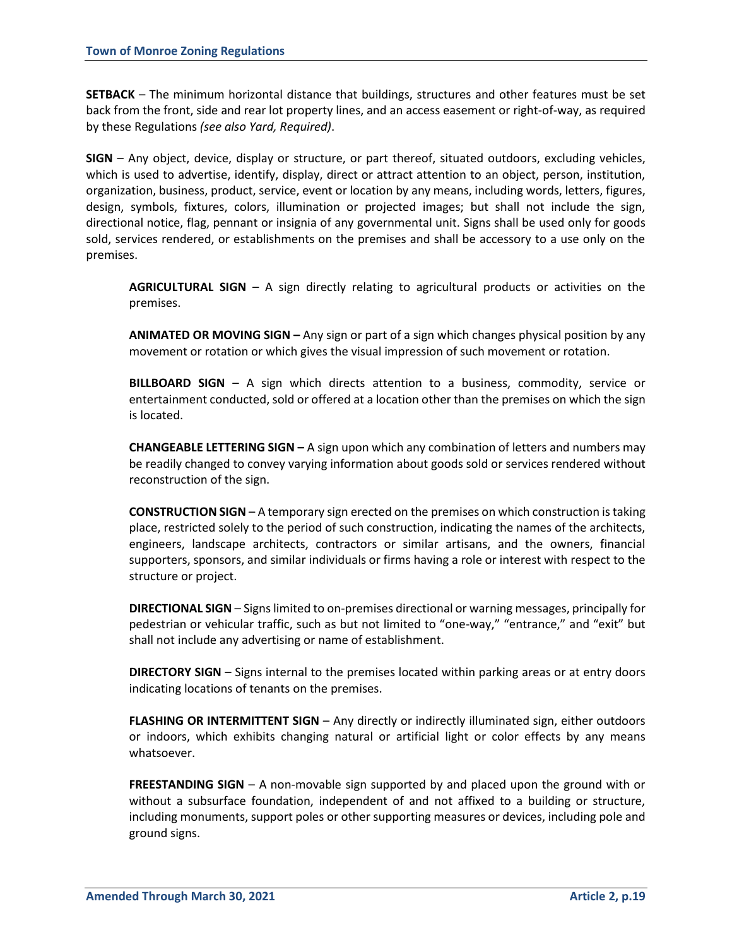**SETBACK** – The minimum horizontal distance that buildings, structures and other features must be set back from the front, side and rear lot property lines, and an access easement or right-of-way, as required by these Regulations *(see also Yard, Required)*.

**SIGN** – Any object, device, display or structure, or part thereof, situated outdoors, excluding vehicles, which is used to advertise, identify, display, direct or attract attention to an object, person, institution, organization, business, product, service, event or location by any means, including words, letters, figures, design, symbols, fixtures, colors, illumination or projected images; but shall not include the sign, directional notice, flag, pennant or insignia of any governmental unit. Signs shall be used only for goods sold, services rendered, or establishments on the premises and shall be accessory to a use only on the premises.

**AGRICULTURAL SIGN** – A sign directly relating to agricultural products or activities on the premises.

**ANIMATED OR MOVING SIGN –** Any sign or part of a sign which changes physical position by any movement or rotation or which gives the visual impression of such movement or rotation.

**BILLBOARD SIGN** – A sign which directs attention to a business, commodity, service or entertainment conducted, sold or offered at a location other than the premises on which the sign is located.

**CHANGEABLE LETTERING SIGN –** A sign upon which any combination of letters and numbers may be readily changed to convey varying information about goods sold or services rendered without reconstruction of the sign.

**CONSTRUCTION SIGN** – A temporary sign erected on the premises on which construction is taking place, restricted solely to the period of such construction, indicating the names of the architects, engineers, landscape architects, contractors or similar artisans, and the owners, financial supporters, sponsors, and similar individuals or firms having a role or interest with respect to the structure or project.

**DIRECTIONAL SIGN** – Signs limited to on-premises directional or warning messages, principally for pedestrian or vehicular traffic, such as but not limited to "one-way," "entrance," and "exit" but shall not include any advertising or name of establishment.

**DIRECTORY SIGN** – Signs internal to the premises located within parking areas or at entry doors indicating locations of tenants on the premises.

**FLASHING OR INTERMITTENT SIGN** – Any directly or indirectly illuminated sign, either outdoors or indoors, which exhibits changing natural or artificial light or color effects by any means whatsoever.

**FREESTANDING SIGN** – A non-movable sign supported by and placed upon the ground with or without a subsurface foundation, independent of and not affixed to a building or structure, including monuments, support poles or other supporting measures or devices, including pole and ground signs.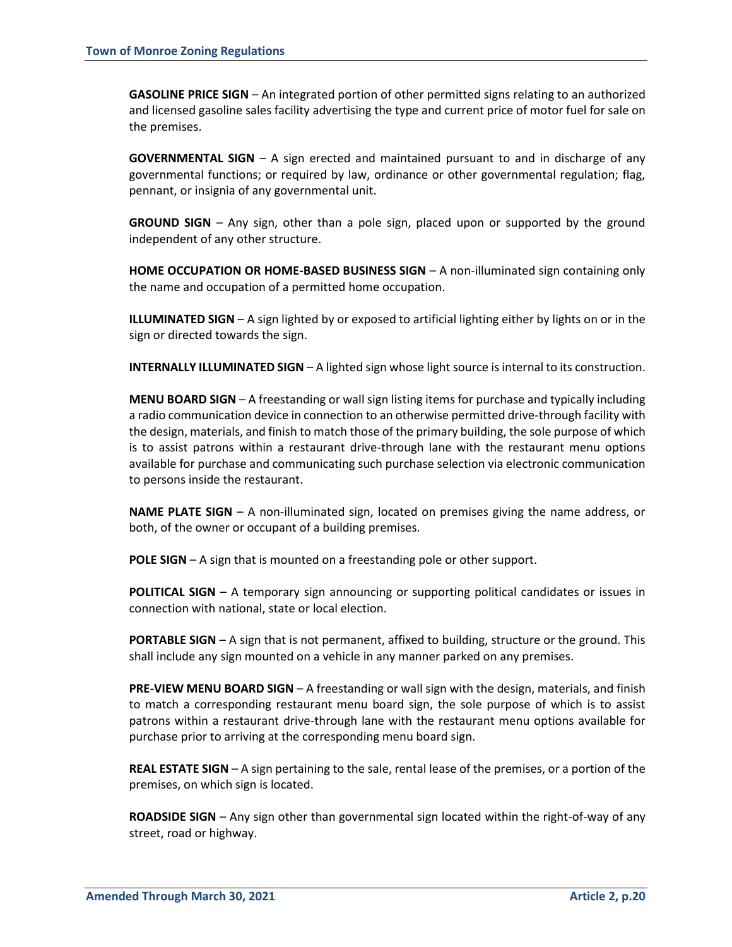**GASOLINE PRICE SIGN** – An integrated portion of other permitted signs relating to an authorized and licensed gasoline sales facility advertising the type and current price of motor fuel for sale on the premises.

**GOVERNMENTAL SIGN** – A sign erected and maintained pursuant to and in discharge of any governmental functions; or required by law, ordinance or other governmental regulation; flag, pennant, or insignia of any governmental unit.

**GROUND SIGN** – Any sign, other than a pole sign, placed upon or supported by the ground independent of any other structure.

**HOME OCCUPATION OR HOME-BASED BUSINESS SIGN** – A non-illuminated sign containing only the name and occupation of a permitted home occupation.

**ILLUMINATED SIGN** – A sign lighted by or exposed to artificial lighting either by lights on or in the sign or directed towards the sign.

**INTERNALLY ILLUMINATED SIGN** – A lighted sign whose light source is internal to its construction.

**MENU BOARD SIGN** – A freestanding or wall sign listing items for purchase and typically including a radio communication device in connection to an otherwise permitted drive-through facility with the design, materials, and finish to match those of the primary building, the sole purpose of which is to assist patrons within a restaurant drive-through lane with the restaurant menu options available for purchase and communicating such purchase selection via electronic communication to persons inside the restaurant.

**NAME PLATE SIGN** – A non-illuminated sign, located on premises giving the name address, or both, of the owner or occupant of a building premises.

**POLE SIGN** – A sign that is mounted on a freestanding pole or other support.

**POLITICAL SIGN** – A temporary sign announcing or supporting political candidates or issues in connection with national, state or local election.

**PORTABLE SIGN** – A sign that is not permanent, affixed to building, structure or the ground. This shall include any sign mounted on a vehicle in any manner parked on any premises.

**PRE-VIEW MENU BOARD SIGN** – A freestanding or wall sign with the design, materials, and finish to match a corresponding restaurant menu board sign, the sole purpose of which is to assist patrons within a restaurant drive-through lane with the restaurant menu options available for purchase prior to arriving at the corresponding menu board sign.

**REAL ESTATE SIGN** – A sign pertaining to the sale, rental lease of the premises, or a portion of the premises, on which sign is located.

**ROADSIDE SIGN** – Any sign other than governmental sign located within the right-of-way of any street, road or highway.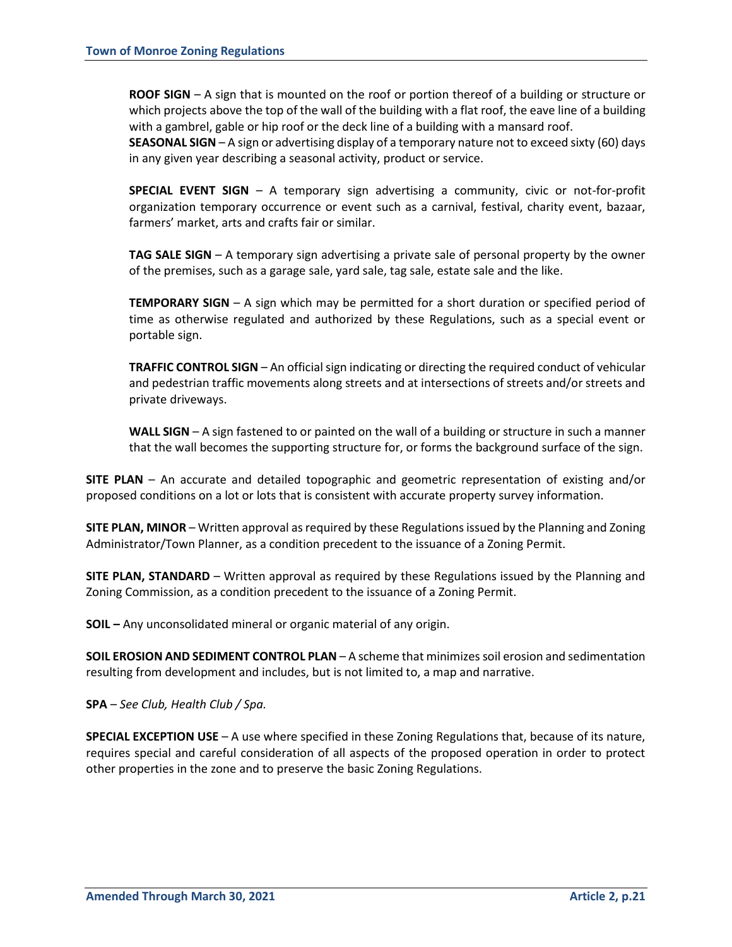**ROOF SIGN** – A sign that is mounted on the roof or portion thereof of a building or structure or which projects above the top of the wall of the building with a flat roof, the eave line of a building with a gambrel, gable or hip roof or the deck line of a building with a mansard roof.

**SEASONAL SIGN** – A sign or advertising display of a temporary nature not to exceed sixty (60) days in any given year describing a seasonal activity, product or service.

**SPECIAL EVENT SIGN** – A temporary sign advertising a community, civic or not-for-profit organization temporary occurrence or event such as a carnival, festival, charity event, bazaar, farmers' market, arts and crafts fair or similar.

**TAG SALE SIGN** – A temporary sign advertising a private sale of personal property by the owner of the premises, such as a garage sale, yard sale, tag sale, estate sale and the like.

**TEMPORARY SIGN** – A sign which may be permitted for a short duration or specified period of time as otherwise regulated and authorized by these Regulations, such as a special event or portable sign.

**TRAFFIC CONTROL SIGN** – An official sign indicating or directing the required conduct of vehicular and pedestrian traffic movements along streets and at intersections of streets and/or streets and private driveways.

**WALL SIGN** – A sign fastened to or painted on the wall of a building or structure in such a manner that the wall becomes the supporting structure for, or forms the background surface of the sign.

**SITE PLAN** – An accurate and detailed topographic and geometric representation of existing and/or proposed conditions on a lot or lots that is consistent with accurate property survey information.

**SITE PLAN, MINOR** – Written approval as required by these Regulations issued by the Planning and Zoning Administrator/Town Planner, as a condition precedent to the issuance of a Zoning Permit.

**SITE PLAN, STANDARD** – Written approval as required by these Regulations issued by the Planning and Zoning Commission, as a condition precedent to the issuance of a Zoning Permit.

**SOIL –** Any unconsolidated mineral or organic material of any origin.

**SOIL EROSION AND SEDIMENT CONTROL PLAN** – A scheme that minimizes soil erosion and sedimentation resulting from development and includes, but is not limited to, a map and narrative.

**SPA** – *See Club, Health Club / Spa.*

**SPECIAL EXCEPTION USE** – A use where specified in these Zoning Regulations that, because of its nature, requires special and careful consideration of all aspects of the proposed operation in order to protect other properties in the zone and to preserve the basic Zoning Regulations.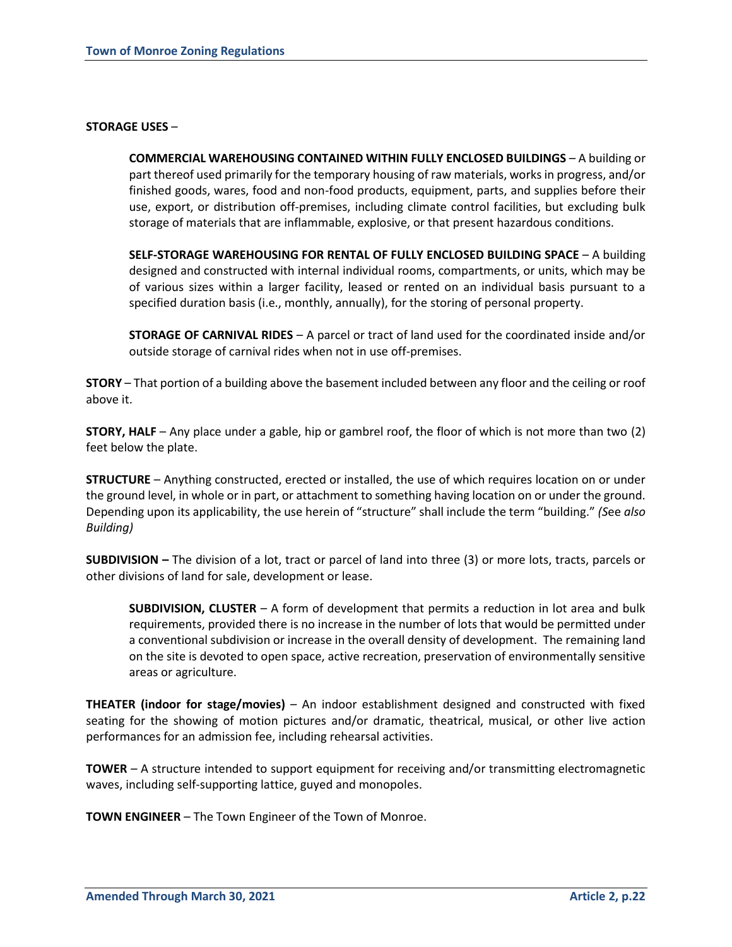#### **STORAGE USES** –

**COMMERCIAL WAREHOUSING CONTAINED WITHIN FULLY ENCLOSED BUILDINGS** – A building or part thereof used primarily for the temporary housing of raw materials, works in progress, and/or finished goods, wares, food and non-food products, equipment, parts, and supplies before their use, export, or distribution off-premises, including climate control facilities, but excluding bulk storage of materials that are inflammable, explosive, or that present hazardous conditions.

**SELF-STORAGE WAREHOUSING FOR RENTAL OF FULLY ENCLOSED BUILDING SPACE** – A building designed and constructed with internal individual rooms, compartments, or units, which may be of various sizes within a larger facility, leased or rented on an individual basis pursuant to a specified duration basis (i.e., monthly, annually), for the storing of personal property.

**STORAGE OF CARNIVAL RIDES** – A parcel or tract of land used for the coordinated inside and/or outside storage of carnival rides when not in use off-premises.

**STORY** – That portion of a building above the basement included between any floor and the ceiling or roof above it.

**STORY, HALF** – Any place under a gable, hip or gambrel roof, the floor of which is not more than two (2) feet below the plate.

**STRUCTURE** – Anything constructed, erected or installed, the use of which requires location on or under the ground level, in whole or in part, or attachment to something having location on or under the ground. Depending upon its applicability, the use herein of "structure" shall include the term "building." *(S*ee *also Building)*

**SUBDIVISION –** The division of a lot, tract or parcel of land into three (3) or more lots, tracts, parcels or other divisions of land for sale, development or lease.

**SUBDIVISION, CLUSTER** – A form of development that permits a reduction in lot area and bulk requirements, provided there is no increase in the number of lots that would be permitted under a conventional subdivision or increase in the overall density of development. The remaining land on the site is devoted to open space, active recreation, preservation of environmentally sensitive areas or agriculture.

**THEATER (indoor for stage/movies)** – An indoor establishment designed and constructed with fixed seating for the showing of motion pictures and/or dramatic, theatrical, musical, or other live action performances for an admission fee, including rehearsal activities.

**TOWER** – A structure intended to support equipment for receiving and/or transmitting electromagnetic waves, including self-supporting lattice, guyed and monopoles.

**TOWN ENGINEER** – The Town Engineer of the Town of Monroe.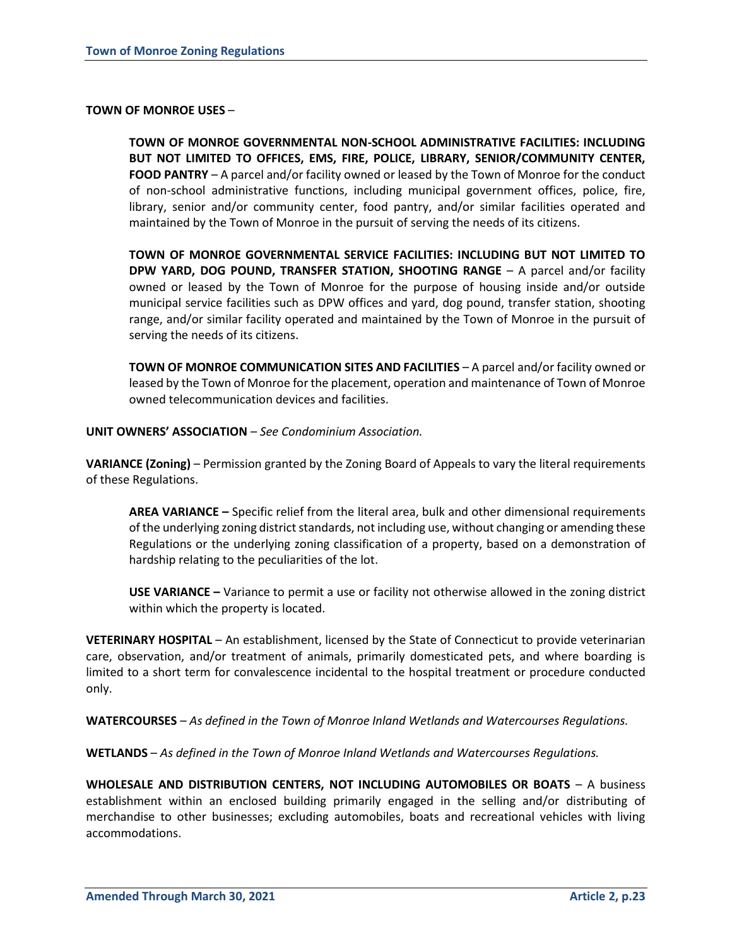#### **TOWN OF MONROE USES** –

**TOWN OF MONROE GOVERNMENTAL NON-SCHOOL ADMINISTRATIVE FACILITIES: INCLUDING BUT NOT LIMITED TO OFFICES, EMS, FIRE, POLICE, LIBRARY, SENIOR/COMMUNITY CENTER, FOOD PANTRY** – A parcel and/or facility owned or leased by the Town of Monroe for the conduct of non-school administrative functions, including municipal government offices, police, fire, library, senior and/or community center, food pantry, and/or similar facilities operated and maintained by the Town of Monroe in the pursuit of serving the needs of its citizens.

**TOWN OF MONROE GOVERNMENTAL SERVICE FACILITIES: INCLUDING BUT NOT LIMITED TO DPW YARD, DOG POUND, TRANSFER STATION, SHOOTING RANGE** – A parcel and/or facility owned or leased by the Town of Monroe for the purpose of housing inside and/or outside municipal service facilities such as DPW offices and yard, dog pound, transfer station, shooting range, and/or similar facility operated and maintained by the Town of Monroe in the pursuit of serving the needs of its citizens.

**TOWN OF MONROE COMMUNICATION SITES AND FACILITIES** – A parcel and/or facility owned or leased by the Town of Monroe for the placement, operation and maintenance of Town of Monroe owned telecommunication devices and facilities.

**UNIT OWNERS' ASSOCIATION** – *See Condominium Association.*

**VARIANCE (Zoning)** – Permission granted by the Zoning Board of Appeals to vary the literal requirements of these Regulations.

**AREA VARIANCE –** Specific relief from the literal area, bulk and other dimensional requirements of the underlying zoning district standards, not including use, without changing or amending these Regulations or the underlying zoning classification of a property, based on a demonstration of hardship relating to the peculiarities of the lot.

**USE VARIANCE –** Variance to permit a use or facility not otherwise allowed in the zoning district within which the property is located.

**VETERINARY HOSPITAL** – An establishment, licensed by the State of Connecticut to provide veterinarian care, observation, and/or treatment of animals, primarily domesticated pets, and where boarding is limited to a short term for convalescence incidental to the hospital treatment or procedure conducted only.

**WATERCOURSES** – *As defined in the Town of Monroe Inland Wetlands and Watercourses Regulations.*

**WETLANDS** – *As defined in the Town of Monroe Inland Wetlands and Watercourses Regulations.*

**WHOLESALE AND DISTRIBUTION CENTERS, NOT INCLUDING AUTOMOBILES OR BOATS** – A business establishment within an enclosed building primarily engaged in the selling and/or distributing of merchandise to other businesses; excluding automobiles, boats and recreational vehicles with living accommodations.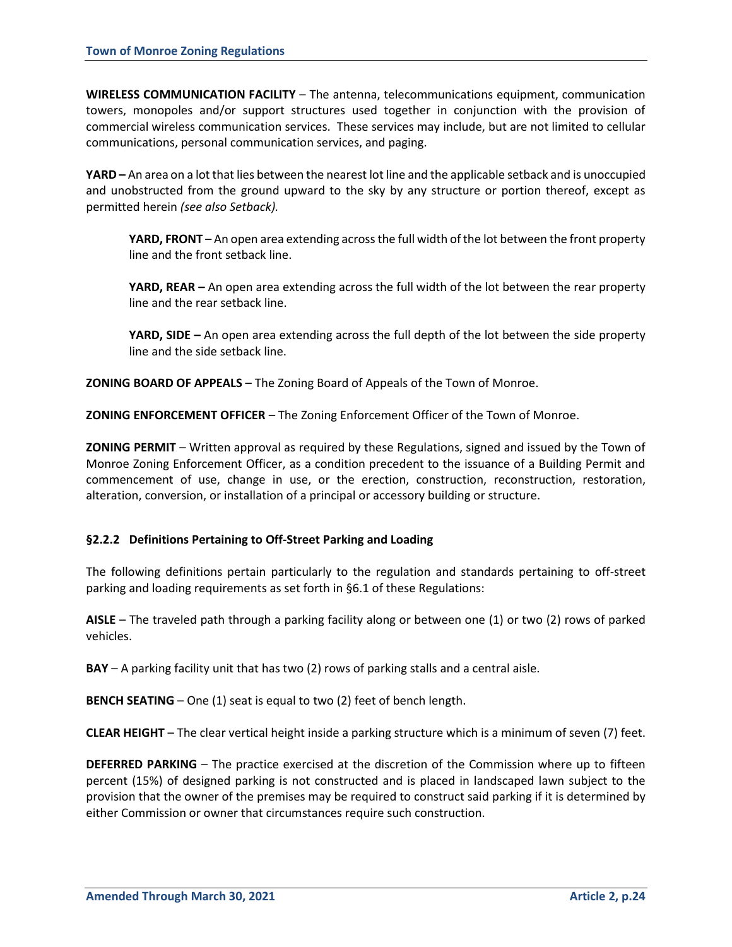**WIRELESS COMMUNICATION FACILITY** – The antenna, telecommunications equipment, communication towers, monopoles and/or support structures used together in conjunction with the provision of commercial wireless communication services. These services may include, but are not limited to cellular communications, personal communication services, and paging.

**YARD –** An area on a lot that lies between the nearest lot line and the applicable setback and is unoccupied and unobstructed from the ground upward to the sky by any structure or portion thereof, except as permitted herein *(see also Setback).*

**YARD, FRONT** – An open area extending across the full width of the lot between the front property line and the front setback line.

**YARD, REAR –** An open area extending across the full width of the lot between the rear property line and the rear setback line.

**YARD, SIDE –** An open area extending across the full depth of the lot between the side property line and the side setback line.

**ZONING BOARD OF APPEALS** – The Zoning Board of Appeals of the Town of Monroe.

**ZONING ENFORCEMENT OFFICER** – The Zoning Enforcement Officer of the Town of Monroe.

**ZONING PERMIT** – Written approval as required by these Regulations, signed and issued by the Town of Monroe Zoning Enforcement Officer, as a condition precedent to the issuance of a Building Permit and commencement of use, change in use, or the erection, construction, reconstruction, restoration, alteration, conversion, or installation of a principal or accessory building or structure.

# **§2.2.2 Definitions Pertaining to Off-Street Parking and Loading**

The following definitions pertain particularly to the regulation and standards pertaining to off-street parking and loading requirements as set forth in §6.1 of these Regulations:

**AISLE** – The traveled path through a parking facility along or between one (1) or two (2) rows of parked vehicles.

**BAY** – A parking facility unit that has two (2) rows of parking stalls and a central aisle.

**BENCH SEATING** – One (1) seat is equal to two (2) feet of bench length.

**CLEAR HEIGHT** – The clear vertical height inside a parking structure which is a minimum of seven (7) feet.

**DEFERRED PARKING** – The practice exercised at the discretion of the Commission where up to fifteen percent (15%) of designed parking is not constructed and is placed in landscaped lawn subject to the provision that the owner of the premises may be required to construct said parking if it is determined by either Commission or owner that circumstances require such construction.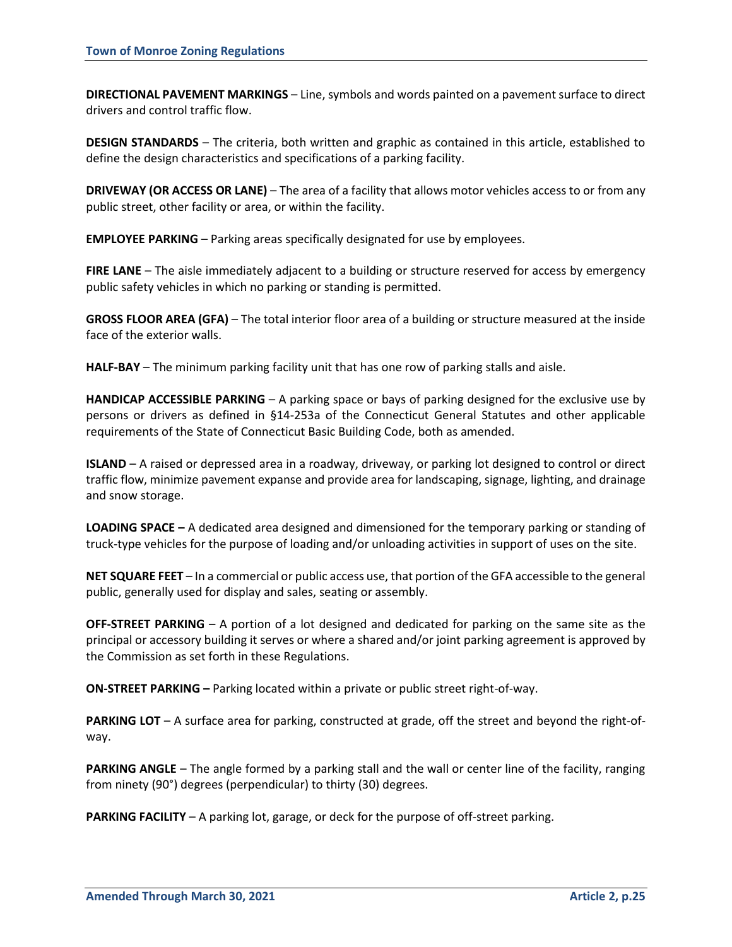**DIRECTIONAL PAVEMENT MARKINGS** – Line, symbols and words painted on a pavement surface to direct drivers and control traffic flow.

**DESIGN STANDARDS** – The criteria, both written and graphic as contained in this article, established to define the design characteristics and specifications of a parking facility.

**DRIVEWAY (OR ACCESS OR LANE)** – The area of a facility that allows motor vehicles access to or from any public street, other facility or area, or within the facility.

**EMPLOYEE PARKING** – Parking areas specifically designated for use by employees.

**FIRE LANE** – The aisle immediately adjacent to a building or structure reserved for access by emergency public safety vehicles in which no parking or standing is permitted.

**GROSS FLOOR AREA (GFA)** – The total interior floor area of a building or structure measured at the inside face of the exterior walls.

**HALF-BAY** – The minimum parking facility unit that has one row of parking stalls and aisle.

**HANDICAP ACCESSIBLE PARKING** – A parking space or bays of parking designed for the exclusive use by persons or drivers as defined in §14-253a of the Connecticut General Statutes and other applicable requirements of the State of Connecticut Basic Building Code, both as amended.

**ISLAND** – A raised or depressed area in a roadway, driveway, or parking lot designed to control or direct traffic flow, minimize pavement expanse and provide area for landscaping, signage, lighting, and drainage and snow storage.

**LOADING SPACE –** A dedicated area designed and dimensioned for the temporary parking or standing of truck-type vehicles for the purpose of loading and/or unloading activities in support of uses on the site.

**NET SQUARE FEET** – In a commercial or public access use, that portion of the GFA accessible to the general public, generally used for display and sales, seating or assembly.

**OFF-STREET PARKING** – A portion of a lot designed and dedicated for parking on the same site as the principal or accessory building it serves or where a shared and/or joint parking agreement is approved by the Commission as set forth in these Regulations.

**ON-STREET PARKING –** Parking located within a private or public street right-of-way.

**PARKING LOT** – A surface area for parking, constructed at grade, off the street and beyond the right-ofway.

**PARKING ANGLE** – The angle formed by a parking stall and the wall or center line of the facility, ranging from ninety (90°) degrees (perpendicular) to thirty (30) degrees.

**PARKING FACILITY** – A parking lot, garage, or deck for the purpose of off-street parking.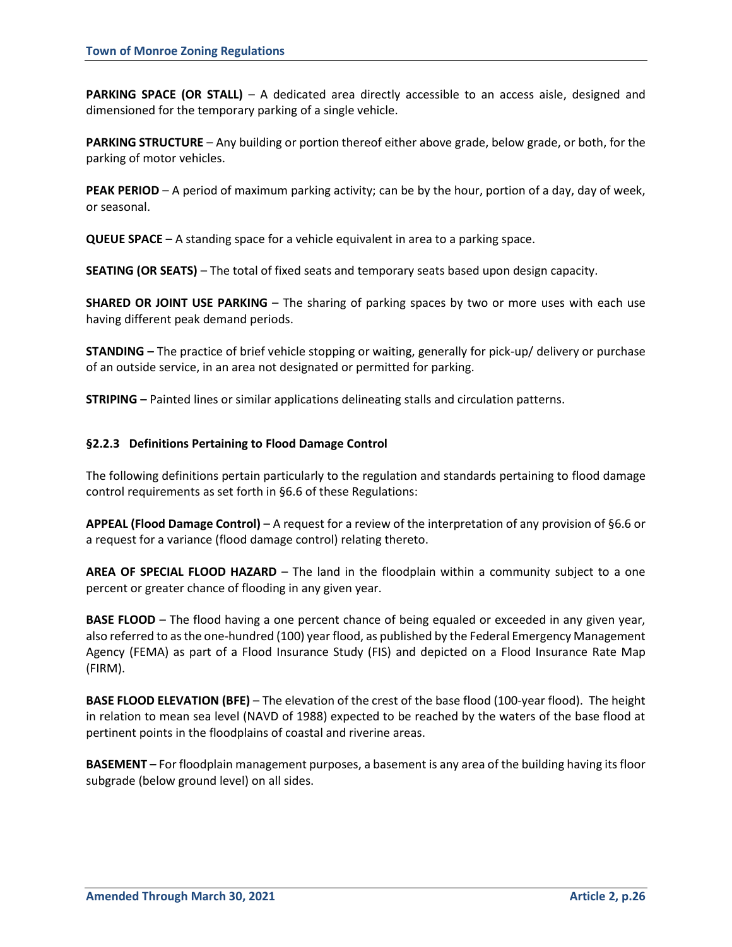**PARKING SPACE (OR STALL)** – A dedicated area directly accessible to an access aisle, designed and dimensioned for the temporary parking of a single vehicle.

**PARKING STRUCTURE** – Any building or portion thereof either above grade, below grade, or both, for the parking of motor vehicles.

**PEAK PERIOD** – A period of maximum parking activity; can be by the hour, portion of a day, day of week, or seasonal.

**QUEUE SPACE** – A standing space for a vehicle equivalent in area to a parking space.

**SEATING (OR SEATS)** – The total of fixed seats and temporary seats based upon design capacity.

**SHARED OR JOINT USE PARKING** – The sharing of parking spaces by two or more uses with each use having different peak demand periods.

**STANDING –** The practice of brief vehicle stopping or waiting, generally for pick-up/ delivery or purchase of an outside service, in an area not designated or permitted for parking.

**STRIPING –** Painted lines or similar applications delineating stalls and circulation patterns.

## **§2.2.3 Definitions Pertaining to Flood Damage Control**

The following definitions pertain particularly to the regulation and standards pertaining to flood damage control requirements as set forth in §6.6 of these Regulations:

**APPEAL (Flood Damage Control)** – A request for a review of the interpretation of any provision of §6.6 or a request for a variance (flood damage control) relating thereto.

**AREA OF SPECIAL FLOOD HAZARD** – The land in the floodplain within a community subject to a one percent or greater chance of flooding in any given year.

**BASE FLOOD** – The flood having a one percent chance of being equaled or exceeded in any given year, also referred to as the one-hundred (100) year flood, as published by the Federal Emergency Management Agency (FEMA) as part of a Flood Insurance Study (FIS) and depicted on a Flood Insurance Rate Map (FIRM).

**BASE FLOOD ELEVATION (BFE)** – The elevation of the crest of the base flood (100-year flood). The height in relation to mean sea level (NAVD of 1988) expected to be reached by the waters of the base flood at pertinent points in the floodplains of coastal and riverine areas.

**BASEMENT –** For floodplain management purposes, a basement is any area of the building having its floor subgrade (below ground level) on all sides.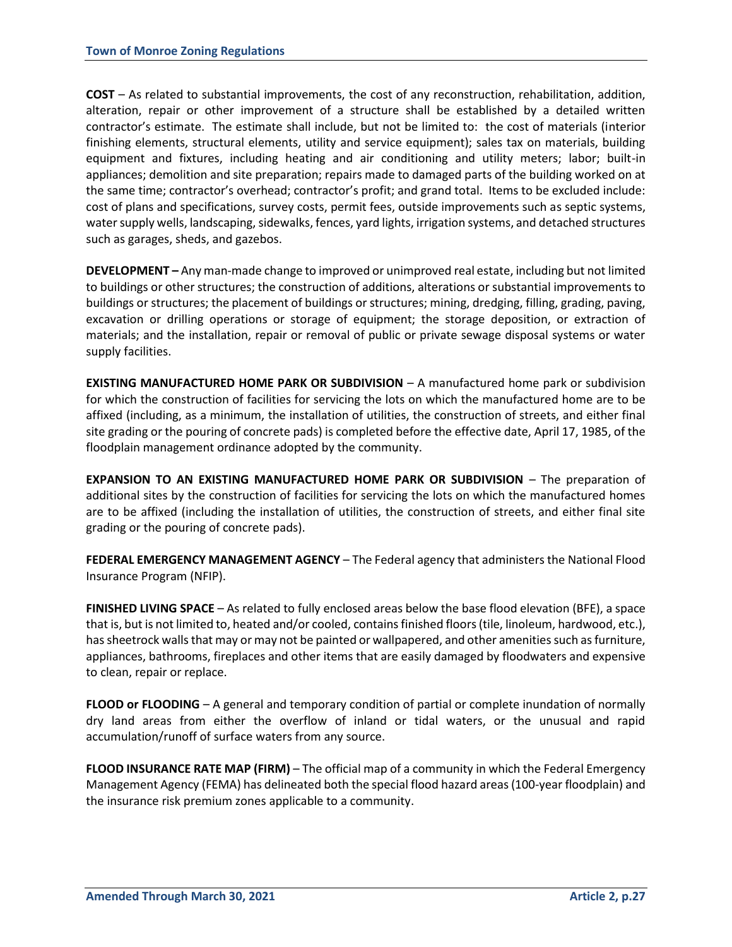**COST** – As related to substantial improvements, the cost of any reconstruction, rehabilitation, addition, alteration, repair or other improvement of a structure shall be established by a detailed written contractor's estimate. The estimate shall include, but not be limited to: the cost of materials (interior finishing elements, structural elements, utility and service equipment); sales tax on materials, building equipment and fixtures, including heating and air conditioning and utility meters; labor; built-in appliances; demolition and site preparation; repairs made to damaged parts of the building worked on at the same time; contractor's overhead; contractor's profit; and grand total. Items to be excluded include: cost of plans and specifications, survey costs, permit fees, outside improvements such as septic systems, water supply wells, landscaping, sidewalks, fences, yard lights, irrigation systems, and detached structures such as garages, sheds, and gazebos.

**DEVELOPMENT –** Any man-made change to improved or unimproved real estate, including but not limited to buildings or other structures; the construction of additions, alterations or substantial improvements to buildings or structures; the placement of buildings or structures; mining, dredging, filling, grading, paving, excavation or drilling operations or storage of equipment; the storage deposition, or extraction of materials; and the installation, repair or removal of public or private sewage disposal systems or water supply facilities.

**EXISTING MANUFACTURED HOME PARK OR SUBDIVISION** – A manufactured home park or subdivision for which the construction of facilities for servicing the lots on which the manufactured home are to be affixed (including, as a minimum, the installation of utilities, the construction of streets, and either final site grading or the pouring of concrete pads) is completed before the effective date, April 17, 1985, of the floodplain management ordinance adopted by the community.

**EXPANSION TO AN EXISTING MANUFACTURED HOME PARK OR SUBDIVISION** – The preparation of additional sites by the construction of facilities for servicing the lots on which the manufactured homes are to be affixed (including the installation of utilities, the construction of streets, and either final site grading or the pouring of concrete pads).

**FEDERAL EMERGENCY MANAGEMENT AGENCY** – The Federal agency that administers the National Flood Insurance Program (NFIP).

**FINISHED LIVING SPACE** – As related to fully enclosed areas below the base flood elevation (BFE), a space that is, but is not limited to, heated and/or cooled, contains finished floors (tile, linoleum, hardwood, etc.), has sheetrock walls that may or may not be painted or wallpapered, and other amenities such as furniture, appliances, bathrooms, fireplaces and other items that are easily damaged by floodwaters and expensive to clean, repair or replace.

**FLOOD or FLOODING** – A general and temporary condition of partial or complete inundation of normally dry land areas from either the overflow of inland or tidal waters, or the unusual and rapid accumulation/runoff of surface waters from any source.

**FLOOD INSURANCE RATE MAP (FIRM)** – The official map of a community in which the Federal Emergency Management Agency (FEMA) has delineated both the special flood hazard areas (100-year floodplain) and the insurance risk premium zones applicable to a community.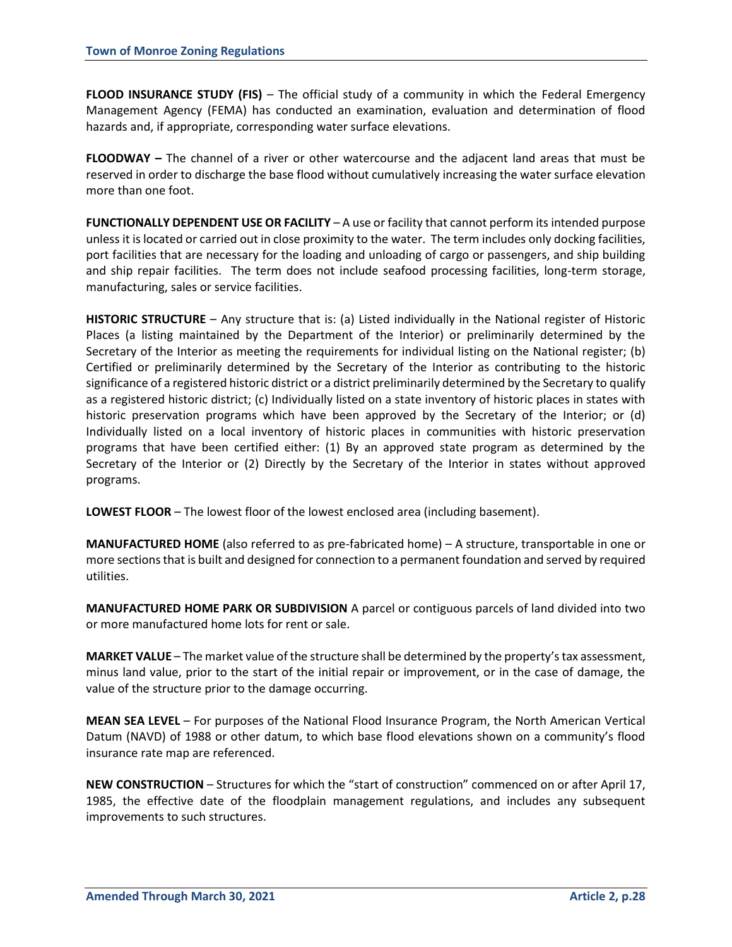**FLOOD INSURANCE STUDY (FIS)** – The official study of a community in which the Federal Emergency Management Agency (FEMA) has conducted an examination, evaluation and determination of flood hazards and, if appropriate, corresponding water surface elevations.

**FLOODWAY –** The channel of a river or other watercourse and the adjacent land areas that must be reserved in order to discharge the base flood without cumulatively increasing the water surface elevation more than one foot.

**FUNCTIONALLY DEPENDENT USE OR FACILITY** – A use or facility that cannot perform its intended purpose unless it is located or carried out in close proximity to the water. The term includes only docking facilities, port facilities that are necessary for the loading and unloading of cargo or passengers, and ship building and ship repair facilities. The term does not include seafood processing facilities, long-term storage, manufacturing, sales or service facilities.

**HISTORIC STRUCTURE** – Any structure that is: (a) Listed individually in the National register of Historic Places (a listing maintained by the Department of the Interior) or preliminarily determined by the Secretary of the Interior as meeting the requirements for individual listing on the National register; (b) Certified or preliminarily determined by the Secretary of the Interior as contributing to the historic significance of a registered historic district or a district preliminarily determined by the Secretary to qualify as a registered historic district; (c) Individually listed on a state inventory of historic places in states with historic preservation programs which have been approved by the Secretary of the Interior; or (d) Individually listed on a local inventory of historic places in communities with historic preservation programs that have been certified either: (1) By an approved state program as determined by the Secretary of the Interior or (2) Directly by the Secretary of the Interior in states without approved programs.

**LOWEST FLOOR** – The lowest floor of the lowest enclosed area (including basement).

**MANUFACTURED HOME** (also referred to as pre-fabricated home) – A structure, transportable in one or more sections that is built and designed for connection to a permanent foundation and served by required utilities.

**MANUFACTURED HOME PARK OR SUBDIVISION** A parcel or contiguous parcels of land divided into two or more manufactured home lots for rent or sale.

**MARKET VALUE** – The market value of the structure shall be determined by the property's tax assessment, minus land value, prior to the start of the initial repair or improvement, or in the case of damage, the value of the structure prior to the damage occurring.

**MEAN SEA LEVEL** – For purposes of the National Flood Insurance Program, the North American Vertical Datum (NAVD) of 1988 or other datum, to which base flood elevations shown on a community's flood insurance rate map are referenced.

**NEW CONSTRUCTION** – Structures for which the "start of construction" commenced on or after April 17, 1985, the effective date of the floodplain management regulations, and includes any subsequent improvements to such structures.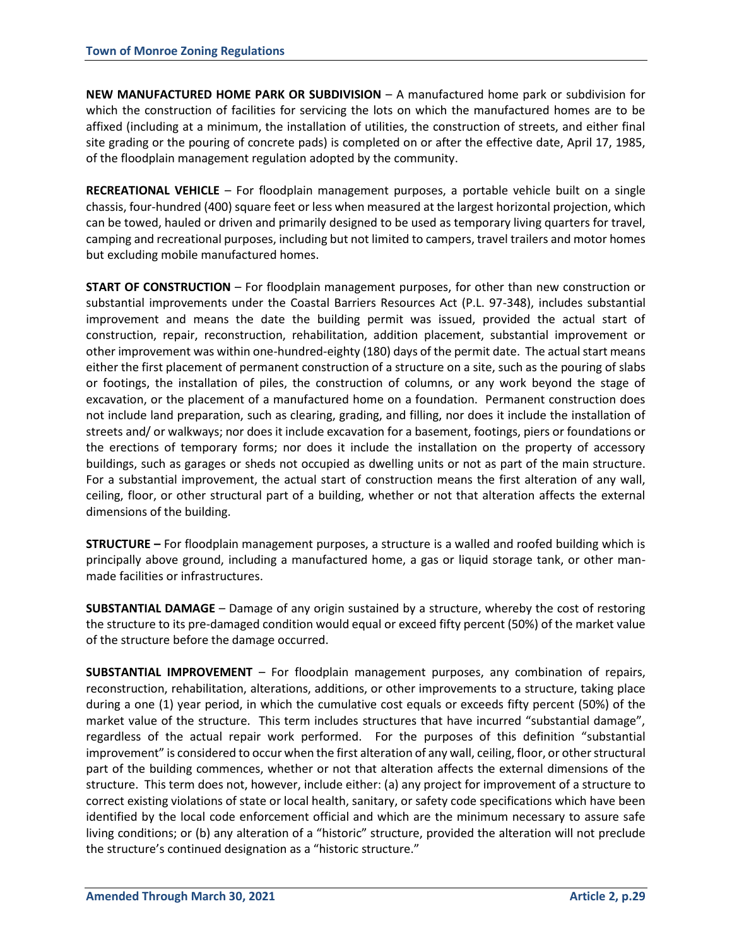**NEW MANUFACTURED HOME PARK OR SUBDIVISION** – A manufactured home park or subdivision for which the construction of facilities for servicing the lots on which the manufactured homes are to be affixed (including at a minimum, the installation of utilities, the construction of streets, and either final site grading or the pouring of concrete pads) is completed on or after the effective date, April 17, 1985, of the floodplain management regulation adopted by the community.

**RECREATIONAL VEHICLE** – For floodplain management purposes, a portable vehicle built on a single chassis, four-hundred (400) square feet or less when measured at the largest horizontal projection, which can be towed, hauled or driven and primarily designed to be used as temporary living quarters for travel, camping and recreational purposes, including but not limited to campers, travel trailers and motor homes but excluding mobile manufactured homes.

**START OF CONSTRUCTION** – For floodplain management purposes, for other than new construction or substantial improvements under the Coastal Barriers Resources Act (P.L. 97-348), includes substantial improvement and means the date the building permit was issued, provided the actual start of construction, repair, reconstruction, rehabilitation, addition placement, substantial improvement or other improvement was within one-hundred-eighty (180) days of the permit date. The actual start means either the first placement of permanent construction of a structure on a site, such as the pouring of slabs or footings, the installation of piles, the construction of columns, or any work beyond the stage of excavation, or the placement of a manufactured home on a foundation. Permanent construction does not include land preparation, such as clearing, grading, and filling, nor does it include the installation of streets and/ or walkways; nor does it include excavation for a basement, footings, piers or foundations or the erections of temporary forms; nor does it include the installation on the property of accessory buildings, such as garages or sheds not occupied as dwelling units or not as part of the main structure. For a substantial improvement, the actual start of construction means the first alteration of any wall, ceiling, floor, or other structural part of a building, whether or not that alteration affects the external dimensions of the building.

**STRUCTURE –** For floodplain management purposes, a structure is a walled and roofed building which is principally above ground, including a manufactured home, a gas or liquid storage tank, or other manmade facilities or infrastructures.

**SUBSTANTIAL DAMAGE** – Damage of any origin sustained by a structure, whereby the cost of restoring the structure to its pre-damaged condition would equal or exceed fifty percent (50%) of the market value of the structure before the damage occurred.

**SUBSTANTIAL IMPROVEMENT** – For floodplain management purposes, any combination of repairs, reconstruction, rehabilitation, alterations, additions, or other improvements to a structure, taking place during a one (1) year period, in which the cumulative cost equals or exceeds fifty percent (50%) of the market value of the structure. This term includes structures that have incurred "substantial damage", regardless of the actual repair work performed. For the purposes of this definition "substantial improvement" is considered to occur when the first alteration of any wall, ceiling, floor, or other structural part of the building commences, whether or not that alteration affects the external dimensions of the structure. This term does not, however, include either: (a) any project for improvement of a structure to correct existing violations of state or local health, sanitary, or safety code specifications which have been identified by the local code enforcement official and which are the minimum necessary to assure safe living conditions; or (b) any alteration of a "historic" structure, provided the alteration will not preclude the structure's continued designation as a "historic structure."